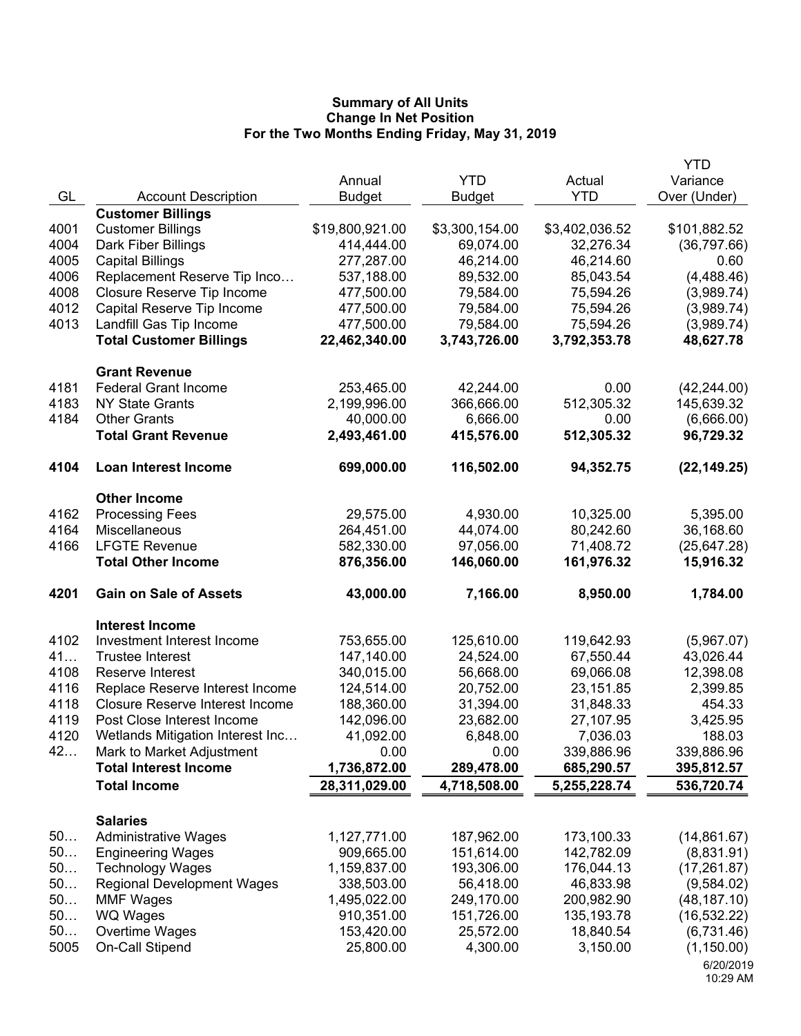|      |                                        |                 |                |                | <b>YTD</b>   |
|------|----------------------------------------|-----------------|----------------|----------------|--------------|
|      |                                        | Annual          | <b>YTD</b>     | Actual         | Variance     |
| GL   | <b>Account Description</b>             | <b>Budget</b>   | <b>Budget</b>  | <b>YTD</b>     | Over (Under) |
|      | <b>Customer Billings</b>               |                 |                |                |              |
| 4001 | <b>Customer Billings</b>               | \$19,800,921.00 | \$3,300,154.00 | \$3,402,036.52 | \$101,882.52 |
| 4004 | Dark Fiber Billings                    | 414,444.00      | 69,074.00      | 32,276.34      | (36,797.66)  |
| 4005 | <b>Capital Billings</b>                | 277,287.00      | 46,214.00      | 46,214.60      | 0.60         |
| 4006 | Replacement Reserve Tip Inco           | 537,188.00      | 89,532.00      | 85,043.54      | (4, 488.46)  |
| 4008 | Closure Reserve Tip Income             | 477,500.00      | 79,584.00      | 75,594.26      | (3,989.74)   |
| 4012 | Capital Reserve Tip Income             | 477,500.00      | 79,584.00      | 75,594.26      | (3,989.74)   |
| 4013 | Landfill Gas Tip Income                | 477,500.00      | 79,584.00      | 75,594.26      | (3,989.74)   |
|      | <b>Total Customer Billings</b>         | 22,462,340.00   | 3,743,726.00   | 3,792,353.78   | 48,627.78    |
|      | <b>Grant Revenue</b>                   |                 |                |                |              |
| 4181 | <b>Federal Grant Income</b>            | 253,465.00      | 42,244.00      | 0.00           | (42, 244.00) |
| 4183 | <b>NY State Grants</b>                 | 2,199,996.00    | 366,666.00     | 512,305.32     | 145,639.32   |
| 4184 | <b>Other Grants</b>                    | 40,000.00       | 6,666.00       | 0.00           | (6,666.00)   |
|      | <b>Total Grant Revenue</b>             | 2,493,461.00    | 415,576.00     | 512,305.32     | 96,729.32    |
| 4104 | <b>Loan Interest Income</b>            | 699,000.00      | 116,502.00     | 94,352.75      | (22, 149.25) |
|      | <b>Other Income</b>                    |                 |                |                |              |
| 4162 | <b>Processing Fees</b>                 | 29,575.00       | 4,930.00       | 10,325.00      | 5,395.00     |
| 4164 | Miscellaneous                          | 264,451.00      | 44,074.00      | 80,242.60      | 36,168.60    |
| 4166 | <b>LFGTE Revenue</b>                   | 582,330.00      | 97,056.00      | 71,408.72      | (25, 647.28) |
|      | <b>Total Other Income</b>              | 876,356.00      | 146,060.00     | 161,976.32     | 15,916.32    |
| 4201 | <b>Gain on Sale of Assets</b>          | 43,000.00       | 7,166.00       | 8,950.00       | 1,784.00     |
|      | <b>Interest Income</b>                 |                 |                |                |              |
| 4102 | Investment Interest Income             | 753,655.00      | 125,610.00     | 119,642.93     | (5,967.07)   |
| 41   | <b>Trustee Interest</b>                | 147,140.00      | 24,524.00      | 67,550.44      | 43,026.44    |
| 4108 | Reserve Interest                       | 340,015.00      | 56,668.00      | 69,066.08      | 12,398.08    |
| 4116 | Replace Reserve Interest Income        | 124,514.00      | 20,752.00      | 23,151.85      | 2,399.85     |
| 4118 | <b>Closure Reserve Interest Income</b> | 188,360.00      | 31,394.00      | 31,848.33      | 454.33       |
| 4119 | Post Close Interest Income             | 142,096.00      | 23,682.00      | 27,107.95      | 3,425.95     |
| 4120 | Wetlands Mitigation Interest Inc       | 41,092.00       | 6,848.00       | 7,036.03       | 188.03       |
| 42   | Mark to Market Adjustment              | 0.00            | 0.00           | 339,886.96     | 339,886.96   |
|      | <b>Total Interest Income</b>           | 1,736,872.00    | 289,478.00     | 685,290.57     | 395,812.57   |
|      | <b>Total Income</b>                    | 28,311,029.00   | 4,718,508.00   | 5,255,228.74   | 536,720.74   |
|      |                                        |                 |                |                |              |
|      | <b>Salaries</b>                        |                 |                |                |              |
| 50   | <b>Administrative Wages</b>            | 1,127,771.00    | 187,962.00     | 173,100.33     | (14,861.67)  |
| 50   | <b>Engineering Wages</b>               | 909,665.00      | 151,614.00     | 142,782.09     | (8,831.91)   |
| 50   | <b>Technology Wages</b>                | 1,159,837.00    | 193,306.00     | 176,044.13     | (17, 261.87) |
| 50   | <b>Regional Development Wages</b>      | 338,503.00      | 56,418.00      | 46,833.98      | (9,584.02)   |
| 50   | <b>MMF Wages</b>                       | 1,495,022.00    | 249,170.00     | 200,982.90     | (48, 187.10) |
| 50   | <b>WQ Wages</b>                        | 910,351.00      | 151,726.00     | 135, 193. 78   | (16, 532.22) |
| 50   | Overtime Wages                         | 153,420.00      | 25,572.00      | 18,840.54      | (6,731.46)   |
| 5005 | On-Call Stipend                        | 25,800.00       | 4,300.00       | 3,150.00       | (1, 150.00)  |
|      |                                        |                 |                |                | 6/20/2019    |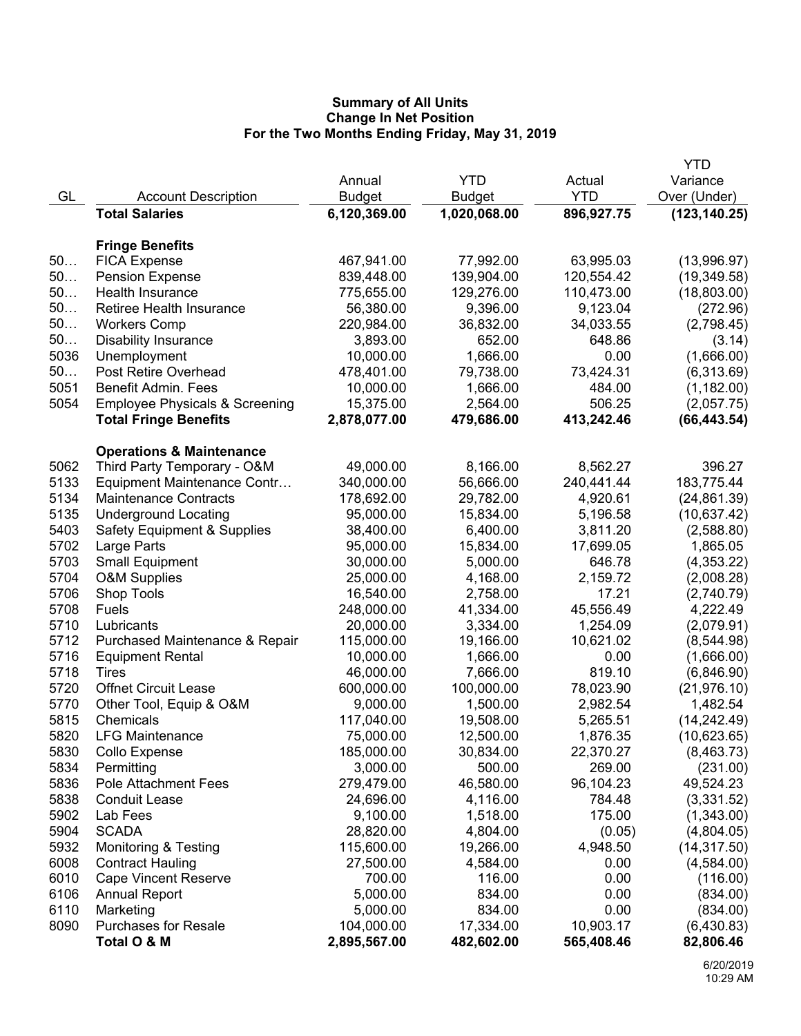|      |                                           |               |               |            | YTD           |
|------|-------------------------------------------|---------------|---------------|------------|---------------|
|      |                                           | Annual        | <b>YTD</b>    | Actual     | Variance      |
| GL   | <b>Account Description</b>                | <b>Budget</b> | <b>Budget</b> | <b>YTD</b> | Over (Under)  |
|      | <b>Total Salaries</b>                     | 6,120,369.00  | 1,020,068.00  | 896,927.75 | (123, 140.25) |
|      |                                           |               |               |            |               |
|      | <b>Fringe Benefits</b>                    |               |               |            |               |
| 50   | <b>FICA Expense</b>                       | 467,941.00    | 77,992.00     | 63,995.03  | (13,996.97)   |
| 50   | <b>Pension Expense</b>                    | 839,448.00    | 139,904.00    | 120,554.42 | (19, 349.58)  |
| 50   | Health Insurance                          | 775,655.00    | 129,276.00    | 110,473.00 | (18,803.00)   |
| 50   | <b>Retiree Health Insurance</b>           | 56,380.00     | 9,396.00      | 9,123.04   | (272.96)      |
| 50   | <b>Workers Comp</b>                       | 220,984.00    | 36,832.00     | 34,033.55  | (2,798.45)    |
| 50   | <b>Disability Insurance</b>               | 3,893.00      | 652.00        | 648.86     | (3.14)        |
| 5036 | Unemployment                              | 10,000.00     | 1,666.00      | 0.00       | (1,666.00)    |
| 50   | Post Retire Overhead                      | 478,401.00    | 79,738.00     | 73,424.31  | (6,313.69)    |
| 5051 | <b>Benefit Admin. Fees</b>                | 10,000.00     | 1,666.00      | 484.00     | (1, 182.00)   |
| 5054 | <b>Employee Physicals &amp; Screening</b> | 15,375.00     | 2,564.00      | 506.25     | (2,057.75)    |
|      | <b>Total Fringe Benefits</b>              | 2,878,077.00  | 479,686.00    | 413,242.46 | (66, 443.54)  |
|      | <b>Operations &amp; Maintenance</b>       |               |               |            |               |
| 5062 | Third Party Temporary - O&M               | 49,000.00     | 8,166.00      | 8,562.27   | 396.27        |
| 5133 | Equipment Maintenance Contr               | 340,000.00    | 56,666.00     | 240,441.44 | 183,775.44    |
| 5134 | <b>Maintenance Contracts</b>              | 178,692.00    | 29,782.00     | 4,920.61   | (24, 861.39)  |
| 5135 | <b>Underground Locating</b>               | 95,000.00     | 15,834.00     | 5,196.58   | (10,637.42)   |
| 5403 | <b>Safety Equipment &amp; Supplies</b>    | 38,400.00     | 6,400.00      | 3,811.20   | (2,588.80)    |
| 5702 | Large Parts                               | 95,000.00     | 15,834.00     | 17,699.05  | 1,865.05      |
| 5703 | <b>Small Equipment</b>                    | 30,000.00     | 5,000.00      | 646.78     | (4,353.22)    |
| 5704 | <b>O&amp;M Supplies</b>                   | 25,000.00     | 4,168.00      | 2,159.72   | (2,008.28)    |
| 5706 | Shop Tools                                | 16,540.00     | 2,758.00      | 17.21      | (2,740.79)    |
| 5708 | Fuels                                     | 248,000.00    | 41,334.00     | 45,556.49  | 4,222.49      |
| 5710 | Lubricants                                | 20,000.00     | 3,334.00      | 1,254.09   | (2,079.91)    |
| 5712 | Purchased Maintenance & Repair            | 115,000.00    | 19,166.00     | 10,621.02  | (8,544.98)    |
| 5716 | <b>Equipment Rental</b>                   | 10,000.00     | 1,666.00      | 0.00       | (1,666.00)    |
| 5718 | Tires                                     | 46,000.00     | 7,666.00      | 819.10     | (6,846.90)    |
| 5720 | <b>Offnet Circuit Lease</b>               | 600,000.00    | 100,000.00    | 78,023.90  | (21, 976.10)  |
| 5770 | Other Tool, Equip & O&M                   | 9,000.00      | 1,500.00      | 2,982.54   | 1,482.54      |
| 5815 | Chemicals                                 | 117,040.00    | 19,508.00     | 5,265.51   | (14, 242.49)  |
| 5820 | <b>LFG Maintenance</b>                    | 75,000.00     | 12,500.00     | 1,876.35   | (10,623.65)   |
| 5830 | Collo Expense                             | 185,000.00    | 30,834.00     | 22,370.27  | (8,463.73)    |
| 5834 | Permitting                                | 3,000.00      | 500.00        | 269.00     | (231.00)      |
| 5836 | <b>Pole Attachment Fees</b>               | 279,479.00    | 46,580.00     | 96,104.23  | 49,524.23     |
| 5838 | <b>Conduit Lease</b>                      | 24,696.00     | 4,116.00      | 784.48     | (3,331.52)    |
| 5902 | Lab Fees                                  | 9,100.00      | 1,518.00      | 175.00     | (1,343.00)    |
| 5904 | <b>SCADA</b>                              | 28,820.00     | 4,804.00      | (0.05)     | (4,804.05)    |
| 5932 | <b>Monitoring &amp; Testing</b>           | 115,600.00    | 19,266.00     | 4,948.50   | (14, 317.50)  |
| 6008 | <b>Contract Hauling</b>                   | 27,500.00     | 4,584.00      | 0.00       | (4,584.00)    |
| 6010 | <b>Cape Vincent Reserve</b>               | 700.00        | 116.00        | 0.00       | (116.00)      |
| 6106 | <b>Annual Report</b>                      | 5,000.00      | 834.00        | 0.00       | (834.00)      |
| 6110 | Marketing                                 | 5,000.00      | 834.00        | 0.00       | (834.00)      |
| 8090 | <b>Purchases for Resale</b>               | 104,000.00    | 17,334.00     | 10,903.17  | (6,430.83)    |
|      | Total O & M                               | 2,895,567.00  | 482,602.00    | 565,408.46 | 82,806.46     |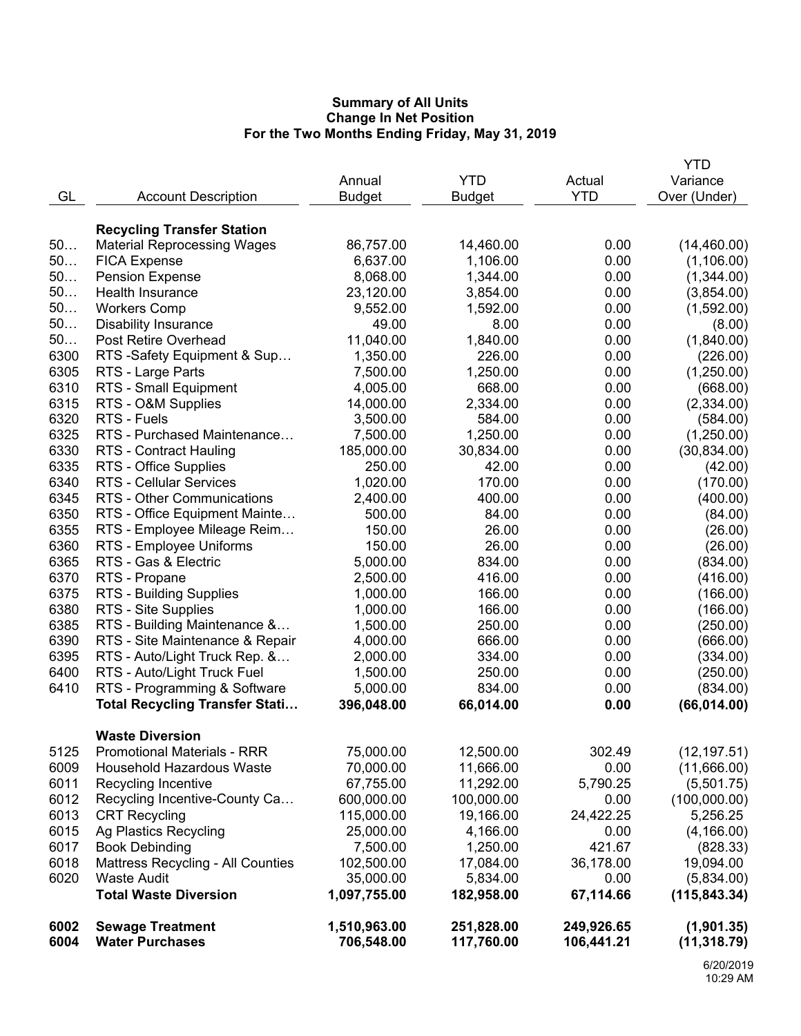|      |                                       |               |               |            | YTD           |
|------|---------------------------------------|---------------|---------------|------------|---------------|
|      |                                       | Annual        | <b>YTD</b>    | Actual     | Variance      |
| GL   | <b>Account Description</b>            | <b>Budget</b> | <b>Budget</b> | <b>YTD</b> | Over (Under)  |
|      |                                       |               |               |            |               |
|      | <b>Recycling Transfer Station</b>     |               |               |            |               |
| 50   | <b>Material Reprocessing Wages</b>    | 86,757.00     | 14,460.00     | 0.00       | (14, 460.00)  |
| 50   | <b>FICA Expense</b>                   | 6,637.00      | 1,106.00      | 0.00       | (1, 106.00)   |
| 50   | <b>Pension Expense</b>                | 8,068.00      | 1,344.00      | 0.00       | (1,344.00)    |
| 50   | <b>Health Insurance</b>               | 23,120.00     | 3,854.00      | 0.00       | (3,854.00)    |
| 50   | <b>Workers Comp</b>                   | 9,552.00      | 1,592.00      | 0.00       | (1,592.00)    |
| 50   | <b>Disability Insurance</b>           | 49.00         | 8.00          | 0.00       | (8.00)        |
| 50   | <b>Post Retire Overhead</b>           | 11,040.00     | 1,840.00      | 0.00       | (1,840.00)    |
| 6300 | RTS -Safety Equipment & Sup           | 1,350.00      | 226.00        | 0.00       | (226.00)      |
| 6305 | RTS - Large Parts                     | 7,500.00      | 1,250.00      | 0.00       | (1,250.00)    |
| 6310 | RTS - Small Equipment                 | 4,005.00      | 668.00        | 0.00       | (668.00)      |
| 6315 | RTS - O&M Supplies                    | 14,000.00     | 2,334.00      | 0.00       | (2,334.00)    |
| 6320 | RTS - Fuels                           | 3,500.00      | 584.00        | 0.00       | (584.00)      |
| 6325 | RTS - Purchased Maintenance           | 7,500.00      | 1,250.00      | 0.00       | (1,250.00)    |
| 6330 | <b>RTS - Contract Hauling</b>         | 185,000.00    | 30,834.00     | 0.00       | (30, 834.00)  |
| 6335 | RTS - Office Supplies                 | 250.00        | 42.00         | 0.00       | (42.00)       |
| 6340 | <b>RTS - Cellular Services</b>        | 1,020.00      | 170.00        | 0.00       | (170.00)      |
| 6345 | RTS - Other Communications            | 2,400.00      | 400.00        | 0.00       | (400.00)      |
| 6350 | RTS - Office Equipment Mainte         | 500.00        | 84.00         | 0.00       | (84.00)       |
| 6355 | RTS - Employee Mileage Reim           | 150.00        | 26.00         | 0.00       | (26.00)       |
| 6360 | RTS - Employee Uniforms               | 150.00        | 26.00         | 0.00       | (26.00)       |
| 6365 | RTS - Gas & Electric                  | 5,000.00      | 834.00        | 0.00       | (834.00)      |
| 6370 | RTS - Propane                         | 2,500.00      | 416.00        | 0.00       | (416.00)      |
| 6375 | RTS - Building Supplies               | 1,000.00      | 166.00        | 0.00       | (166.00)      |
| 6380 | RTS - Site Supplies                   | 1,000.00      | 166.00        | 0.00       | (166.00)      |
| 6385 | RTS - Building Maintenance &          | 1,500.00      | 250.00        | 0.00       | (250.00)      |
| 6390 | RTS - Site Maintenance & Repair       | 4,000.00      | 666.00        | 0.00       | (666.00)      |
| 6395 | RTS - Auto/Light Truck Rep. &         | 2,000.00      | 334.00        | 0.00       | (334.00)      |
| 6400 | RTS - Auto/Light Truck Fuel           | 1,500.00      | 250.00        | 0.00       | (250.00)      |
| 6410 | RTS - Programming & Software          | 5,000.00      | 834.00        | 0.00       | (834.00)      |
|      | <b>Total Recycling Transfer Stati</b> | 396,048.00    | 66,014.00     | 0.00       | (66, 014.00)  |
|      |                                       |               |               |            |               |
|      | <b>Waste Diversion</b>                |               |               |            |               |
| 5125 | <b>Promotional Materials - RRR</b>    | 75,000.00     | 12,500.00     | 302.49     | (12, 197.51)  |
| 6009 | Household Hazardous Waste             | 70,000.00     | 11,666.00     | 0.00       | (11,666.00)   |
| 6011 | Recycling Incentive                   | 67,755.00     | 11,292.00     | 5,790.25   | (5,501.75)    |
| 6012 | Recycling Incentive-County Ca         | 600,000.00    | 100,000.00    | 0.00       | (100,000.00)  |
| 6013 | <b>CRT Recycling</b>                  | 115,000.00    | 19,166.00     | 24,422.25  | 5,256.25      |
| 6015 | Ag Plastics Recycling                 | 25,000.00     | 4,166.00      | 0.00       | (4, 166.00)   |
| 6017 | <b>Book Debinding</b>                 | 7,500.00      | 1,250.00      | 421.67     | (828.33)      |
| 6018 | Mattress Recycling - All Counties     | 102,500.00    | 17,084.00     | 36,178.00  | 19,094.00     |
| 6020 | <b>Waste Audit</b>                    | 35,000.00     | 5,834.00      | 0.00       | (5,834.00)    |
|      | <b>Total Waste Diversion</b>          | 1,097,755.00  | 182,958.00    | 67,114.66  | (115, 843.34) |
| 6002 | <b>Sewage Treatment</b>               | 1,510,963.00  | 251,828.00    | 249,926.65 | (1,901.35)    |
| 6004 | <b>Water Purchases</b>                | 706,548.00    | 117,760.00    | 106,441.21 | (11, 318.79)  |
|      |                                       |               |               |            |               |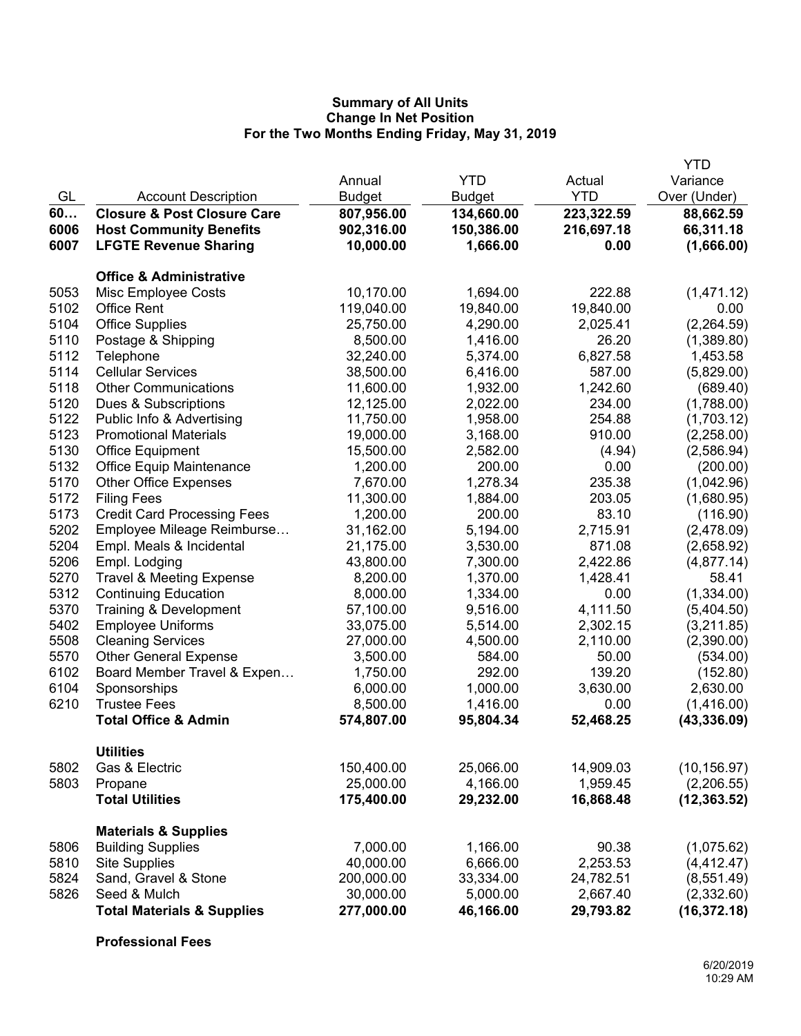|              |                                           |                         |                       |                       | <b>YTD</b>             |
|--------------|-------------------------------------------|-------------------------|-----------------------|-----------------------|------------------------|
|              |                                           | Annual                  | <b>YTD</b>            | Actual                | Variance               |
| GL           | <b>Account Description</b>                | <b>Budget</b>           | <b>Budget</b>         | <b>YTD</b>            | Over (Under)           |
| 60           | <b>Closure &amp; Post Closure Care</b>    | 807,956.00              | 134,660.00            | 223,322.59            | 88,662.59              |
| 6006         | <b>Host Community Benefits</b>            | 902,316.00              | 150,386.00            | 216,697.18            | 66,311.18              |
| 6007         | <b>LFGTE Revenue Sharing</b>              | 10,000.00               | 1,666.00              | 0.00                  | (1,666.00)             |
|              |                                           |                         |                       |                       |                        |
| 5053         | <b>Office &amp; Administrative</b>        |                         |                       | 222.88                |                        |
|              | Misc Employee Costs<br><b>Office Rent</b> | 10,170.00<br>119,040.00 | 1,694.00              |                       | (1,471.12)             |
| 5102<br>5104 | <b>Office Supplies</b>                    | 25,750.00               | 19,840.00<br>4,290.00 | 19,840.00             | 0.00<br>(2, 264.59)    |
| 5110         | Postage & Shipping                        | 8,500.00                | 1,416.00              | 2,025.41<br>26.20     | (1,389.80)             |
| 5112         | Telephone                                 | 32,240.00               | 5,374.00              | 6,827.58              | 1,453.58               |
| 5114         | <b>Cellular Services</b>                  | 38,500.00               | 6,416.00              | 587.00                |                        |
| 5118         | <b>Other Communications</b>               | 11,600.00               | 1,932.00              | 1,242.60              | (5,829.00)<br>(689.40) |
| 5120         | Dues & Subscriptions                      | 12,125.00               | 2,022.00              | 234.00                | (1,788.00)             |
| 5122         | Public Info & Advertising                 | 11,750.00               | 1,958.00              | 254.88                | (1,703.12)             |
| 5123         | <b>Promotional Materials</b>              | 19,000.00               | 3,168.00              | 910.00                | (2,258.00)             |
| 5130         | <b>Office Equipment</b>                   | 15,500.00               | 2,582.00              | (4.94)                | (2,586.94)             |
| 5132         | Office Equip Maintenance                  | 1,200.00                | 200.00                | 0.00                  | (200.00)               |
| 5170         | <b>Other Office Expenses</b>              | 7,670.00                | 1,278.34              | 235.38                | (1,042.96)             |
| 5172         | <b>Filing Fees</b>                        | 11,300.00               | 1,884.00              | 203.05                | (1,680.95)             |
| 5173         | <b>Credit Card Processing Fees</b>        | 1,200.00                | 200.00                | 83.10                 | (116.90)               |
| 5202         | Employee Mileage Reimburse                | 31,162.00               | 5,194.00              | 2,715.91              | (2,478.09)             |
| 5204         | Empl. Meals & Incidental                  | 21,175.00               | 3,530.00              | 871.08                | (2,658.92)             |
| 5206         | Empl. Lodging                             | 43,800.00               | 7,300.00              | 2,422.86              | (4,877.14)             |
| 5270         | <b>Travel &amp; Meeting Expense</b>       | 8,200.00                | 1,370.00              | 1,428.41              | 58.41                  |
| 5312         | <b>Continuing Education</b>               | 8,000.00                | 1,334.00              | 0.00                  | (1,334.00)             |
| 5370         | Training & Development                    | 57,100.00               | 9,516.00              | 4,111.50              | (5,404.50)             |
| 5402         | <b>Employee Uniforms</b>                  | 33,075.00               | 5,514.00              | 2,302.15              | (3,211.85)             |
| 5508         | <b>Cleaning Services</b>                  | 27,000.00               | 4,500.00              | 2,110.00              | (2,390.00)             |
| 5570         | <b>Other General Expense</b>              | 3,500.00                | 584.00                | 50.00                 | (534.00)               |
| 6102         | Board Member Travel & Expen               | 1,750.00                | 292.00                | 139.20                | (152.80)               |
| 6104         | Sponsorships                              | 6,000.00                | 1,000.00              | 3,630.00              | 2,630.00               |
| 6210         | <b>Trustee Fees</b>                       | 8,500.00                | 1,416.00              | 0.00                  | (1,416.00)             |
|              | <b>Total Office &amp; Admin</b>           | 574,807.00              | 95,804.34             | 52,468.25             | (43, 336.09)           |
|              |                                           |                         |                       |                       |                        |
| 5802         | <b>Utilities</b><br>Gas & Electric        | 150,400.00              | 25,066.00             |                       | (10, 156.97)           |
| 5803         |                                           | 25,000.00               | 4,166.00              | 14,909.03<br>1,959.45 | (2,206.55)             |
|              | Propane<br><b>Total Utilities</b>         | 175,400.00              | 29,232.00             | 16,868.48             | (12, 363.52)           |
|              |                                           |                         |                       |                       |                        |
|              | <b>Materials &amp; Supplies</b>           |                         |                       |                       |                        |
| 5806         | <b>Building Supplies</b>                  | 7,000.00                | 1,166.00              | 90.38                 | (1,075.62)             |
| 5810         | <b>Site Supplies</b>                      | 40,000.00               | 6,666.00              | 2,253.53              | (4, 412.47)            |
| 5824         | Sand, Gravel & Stone                      | 200,000.00              | 33,334.00             | 24,782.51             | (8, 551.49)            |
| 5826         | Seed & Mulch                              | 30,000.00               | 5,000.00              | 2,667.40              | (2,332.60)             |
|              | <b>Total Materials &amp; Supplies</b>     | 277,000.00              | 46,166.00             | 29,793.82             | (16, 372.18)           |

**Professional Fees**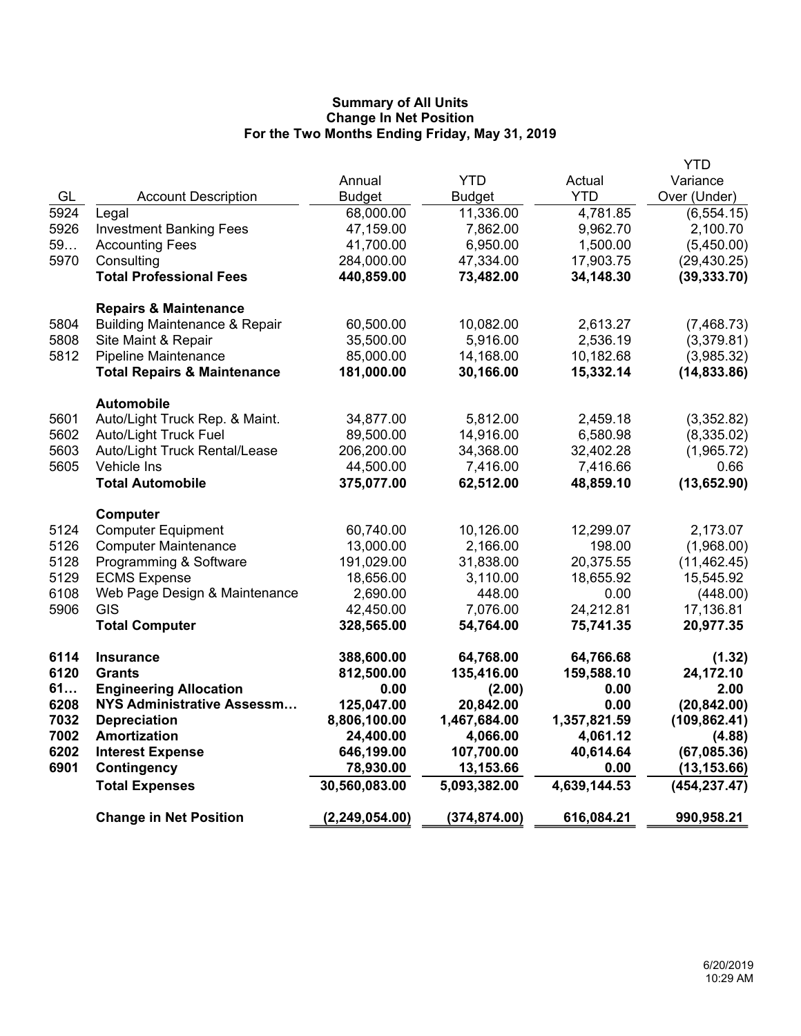|      |                                          |                  |               |              | <b>YTD</b>    |
|------|------------------------------------------|------------------|---------------|--------------|---------------|
|      |                                          | Annual           | <b>YTD</b>    | Actual       | Variance      |
| GL   | <b>Account Description</b>               | <b>Budget</b>    | <b>Budget</b> | <b>YTD</b>   | Over (Under)  |
| 5924 | Legal                                    | 68,000.00        | 11,336.00     | 4,781.85     | (6, 554.15)   |
| 5926 | <b>Investment Banking Fees</b>           | 47,159.00        | 7,862.00      | 9,962.70     | 2,100.70      |
| 59   | <b>Accounting Fees</b>                   | 41,700.00        | 6,950.00      | 1,500.00     | (5,450.00)    |
| 5970 | Consulting                               | 284,000.00       | 47,334.00     | 17,903.75    | (29, 430.25)  |
|      | <b>Total Professional Fees</b>           | 440,859.00       | 73,482.00     | 34,148.30    | (39, 333.70)  |
|      | <b>Repairs &amp; Maintenance</b>         |                  |               |              |               |
| 5804 | <b>Building Maintenance &amp; Repair</b> | 60,500.00        | 10,082.00     | 2,613.27     | (7,468.73)    |
| 5808 | Site Maint & Repair                      | 35,500.00        | 5,916.00      | 2,536.19     | (3,379.81)    |
| 5812 | Pipeline Maintenance                     | 85,000.00        | 14,168.00     | 10,182.68    | (3,985.32)    |
|      | <b>Total Repairs &amp; Maintenance</b>   | 181,000.00       | 30,166.00     | 15,332.14    | (14, 833.86)  |
|      | <b>Automobile</b>                        |                  |               |              |               |
| 5601 | Auto/Light Truck Rep. & Maint.           | 34,877.00        | 5,812.00      | 2,459.18     | (3,352.82)    |
| 5602 | <b>Auto/Light Truck Fuel</b>             | 89,500.00        | 14,916.00     | 6,580.98     | (8,335.02)    |
| 5603 | Auto/Light Truck Rental/Lease            | 206,200.00       | 34,368.00     | 32,402.28    | (1,965.72)    |
| 5605 | Vehicle Ins                              | 44,500.00        | 7,416.00      | 7,416.66     | 0.66          |
|      | <b>Total Automobile</b>                  | 375,077.00       | 62,512.00     | 48,859.10    | (13,652.90)   |
|      | Computer                                 |                  |               |              |               |
| 5124 | <b>Computer Equipment</b>                | 60,740.00        | 10,126.00     | 12,299.07    | 2,173.07      |
| 5126 | <b>Computer Maintenance</b>              | 13,000.00        | 2,166.00      | 198.00       | (1,968.00)    |
| 5128 | Programming & Software                   | 191,029.00       | 31,838.00     | 20,375.55    | (11, 462.45)  |
| 5129 | <b>ECMS Expense</b>                      | 18,656.00        | 3,110.00      | 18,655.92    | 15,545.92     |
| 6108 | Web Page Design & Maintenance            | 2,690.00         | 448.00        | 0.00         | (448.00)      |
| 5906 | <b>GIS</b>                               | 42,450.00        | 7,076.00      | 24,212.81    | 17,136.81     |
|      | <b>Total Computer</b>                    | 328,565.00       | 54,764.00     | 75,741.35    | 20,977.35     |
| 6114 | <b>Insurance</b>                         | 388,600.00       | 64,768.00     | 64,766.68    | (1.32)        |
| 6120 | <b>Grants</b>                            | 812,500.00       | 135,416.00    | 159,588.10   | 24,172.10     |
| 61   | <b>Engineering Allocation</b>            | 0.00             | (2.00)        | 0.00         | 2.00          |
| 6208 | NYS Administrative Assessm               | 125,047.00       | 20,842.00     | 0.00         | (20, 842.00)  |
| 7032 | <b>Depreciation</b>                      | 8,806,100.00     | 1,467,684.00  | 1,357,821.59 | (109, 862.41) |
| 7002 | <b>Amortization</b>                      | 24,400.00        | 4,066.00      | 4,061.12     | (4.88)        |
| 6202 | <b>Interest Expense</b>                  | 646,199.00       | 107,700.00    | 40,614.64    | (67,085.36)   |
| 6901 | <b>Contingency</b>                       | 78,930.00        | 13,153.66     | 0.00         | (13, 153.66)  |
|      | <b>Total Expenses</b>                    | 30,560,083.00    | 5,093,382.00  | 4,639,144.53 | (454, 237.47) |
|      | <b>Change in Net Position</b>            | (2, 249, 054.00) | (374, 874.00) | 616,084.21   | 990,958.21    |
|      |                                          |                  |               |              |               |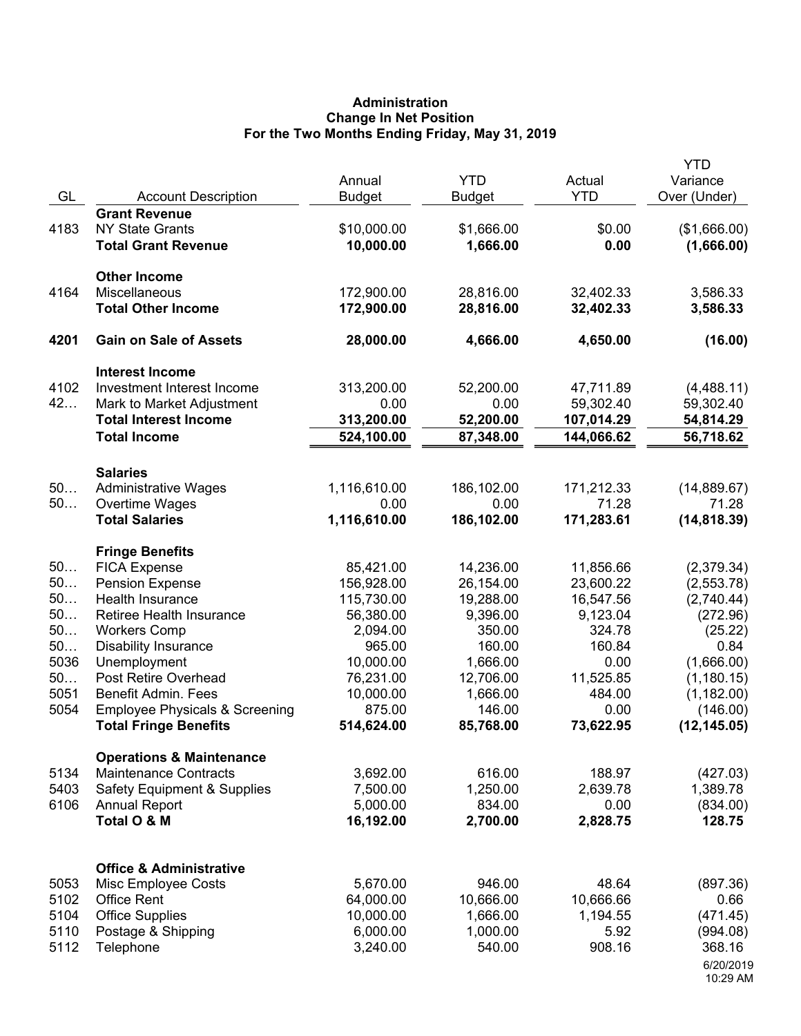# **Administration Change In Net Position For the Two Months Ending Friday, May 31, 2019**

| GL                                       | <b>Account Description</b>                                                                                                                                          | Annual<br><b>Budget</b>                                                               | <b>YTD</b><br><b>Budget</b>                                                     | Actual<br><b>YTD</b>                                                        | <b>YTD</b><br>Variance<br>Over (Under)                                              |
|------------------------------------------|---------------------------------------------------------------------------------------------------------------------------------------------------------------------|---------------------------------------------------------------------------------------|---------------------------------------------------------------------------------|-----------------------------------------------------------------------------|-------------------------------------------------------------------------------------|
| 4183                                     | <b>Grant Revenue</b><br><b>NY State Grants</b><br><b>Total Grant Revenue</b>                                                                                        | \$10,000.00<br>10,000.00                                                              | \$1,666.00<br>1,666.00                                                          | \$0.00<br>0.00                                                              | (\$1,666.00)<br>(1,666.00)                                                          |
| 4164                                     | <b>Other Income</b><br>Miscellaneous<br><b>Total Other Income</b>                                                                                                   | 172,900.00<br>172,900.00                                                              | 28,816.00<br>28,816.00                                                          | 32,402.33<br>32,402.33                                                      | 3,586.33<br>3,586.33                                                                |
| 4201                                     | <b>Gain on Sale of Assets</b>                                                                                                                                       | 28,000.00                                                                             | 4,666.00                                                                        | 4,650.00                                                                    | (16.00)                                                                             |
|                                          | <b>Interest Income</b>                                                                                                                                              |                                                                                       |                                                                                 |                                                                             |                                                                                     |
| 4102<br>42                               | Investment Interest Income<br>Mark to Market Adjustment<br><b>Total Interest Income</b><br><b>Total Income</b>                                                      | 313,200.00<br>0.00<br>313,200.00<br>524,100.00                                        | 52,200.00<br>0.00<br>52,200.00<br>87,348.00                                     | 47,711.89<br>59,302.40<br>107,014.29<br>144,066.62                          | (4,488.11)<br>59,302.40<br>54,814.29<br>56,718.62                                   |
|                                          |                                                                                                                                                                     |                                                                                       |                                                                                 |                                                                             |                                                                                     |
| 50<br>50                                 | <b>Salaries</b><br><b>Administrative Wages</b><br>Overtime Wages<br><b>Total Salaries</b>                                                                           | 1,116,610.00<br>0.00<br>1,116,610.00                                                  | 186,102.00<br>0.00<br>186,102.00                                                | 171,212.33<br>71.28<br>171,283.61                                           | (14,889.67)<br>71.28<br>(14, 818.39)                                                |
|                                          | <b>Fringe Benefits</b>                                                                                                                                              |                                                                                       |                                                                                 |                                                                             |                                                                                     |
| 50<br>50<br>50<br>50<br>50<br>50<br>5036 | <b>FICA Expense</b><br><b>Pension Expense</b><br>Health Insurance<br>Retiree Health Insurance<br><b>Workers Comp</b><br><b>Disability Insurance</b><br>Unemployment | 85,421.00<br>156,928.00<br>115,730.00<br>56,380.00<br>2,094.00<br>965.00<br>10,000.00 | 14,236.00<br>26,154.00<br>19,288.00<br>9,396.00<br>350.00<br>160.00<br>1,666.00 | 11,856.66<br>23,600.22<br>16,547.56<br>9,123.04<br>324.78<br>160.84<br>0.00 | (2,379.34)<br>(2,553.78)<br>(2,740.44)<br>(272.96)<br>(25.22)<br>0.84<br>(1,666.00) |
| 50<br>5051<br>5054                       | Post Retire Overhead<br><b>Benefit Admin. Fees</b><br><b>Employee Physicals &amp; Screening</b><br><b>Total Fringe Benefits</b>                                     | 76,231.00<br>10,000.00<br>875.00<br>514,624.00                                        | 12,706.00<br>1,666.00<br>146.00<br>85,768.00                                    | 11,525.85<br>484.00<br>0.00<br>73,622.95                                    | (1, 180.15)<br>(1, 182.00)<br>(146.00)<br>(12, 145.05)                              |
|                                          | <b>Operations &amp; Maintenance</b>                                                                                                                                 |                                                                                       |                                                                                 |                                                                             |                                                                                     |
| 5134<br>5403<br>6106                     | <b>Maintenance Contracts</b><br><b>Safety Equipment &amp; Supplies</b><br><b>Annual Report</b><br>Total O & M                                                       | 3,692.00<br>7,500.00<br>5,000.00<br>16,192.00                                         | 616.00<br>1,250.00<br>834.00<br>2,700.00                                        | 188.97<br>2,639.78<br>0.00<br>2,828.75                                      | (427.03)<br>1,389.78<br>(834.00)<br>128.75                                          |
| 5053<br>5102<br>5104<br>5110<br>5112     | <b>Office &amp; Administrative</b><br>Misc Employee Costs<br><b>Office Rent</b><br><b>Office Supplies</b><br>Postage & Shipping<br>Telephone                        | 5,670.00<br>64,000.00<br>10,000.00<br>6,000.00<br>3,240.00                            | 946.00<br>10,666.00<br>1,666.00<br>1,000.00<br>540.00                           | 48.64<br>10,666.66<br>1,194.55<br>5.92<br>908.16                            | (897.36)<br>0.66<br>(471.45)<br>(994.08)<br>368.16<br>6/20/2019<br>10:29 AM         |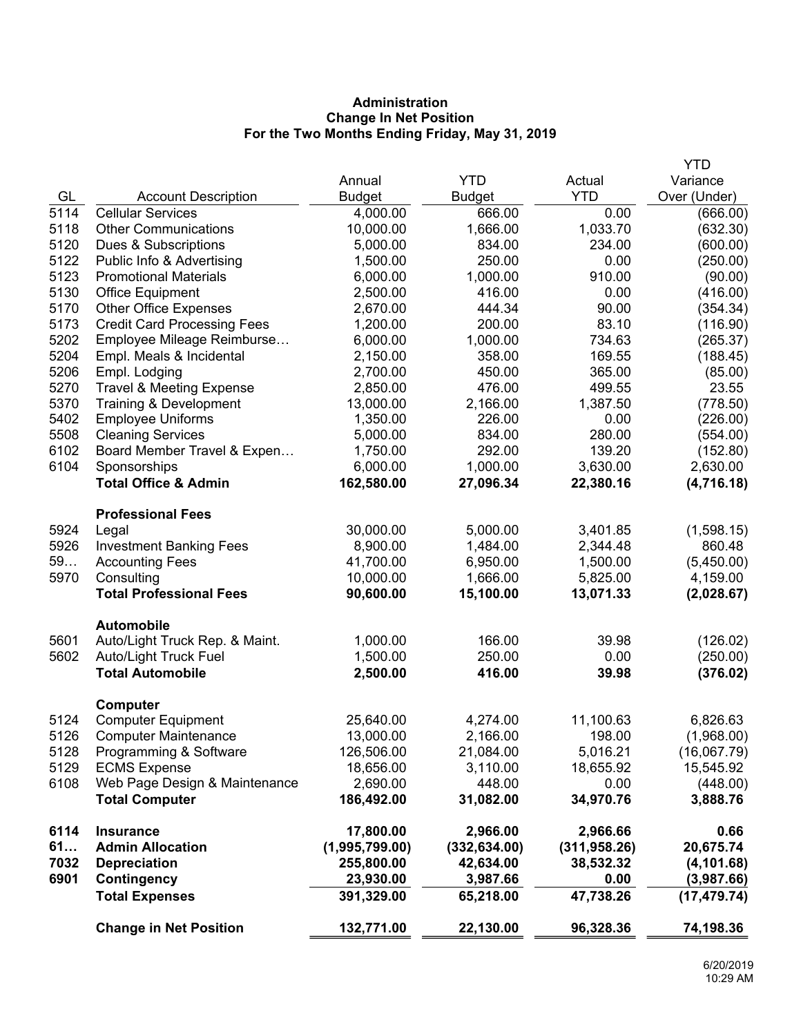# **Administration Change In Net Position For the Two Months Ending Friday, May 31, 2019**

|      |                                     |                |               |               | <b>YTD</b>   |
|------|-------------------------------------|----------------|---------------|---------------|--------------|
|      |                                     | Annual         | <b>YTD</b>    | Actual        | Variance     |
| GL   | <b>Account Description</b>          | <b>Budget</b>  | <b>Budget</b> | <b>YTD</b>    | Over (Under) |
| 5114 | <b>Cellular Services</b>            | 4,000.00       | 666.00        | 0.00          | (666.00)     |
| 5118 | <b>Other Communications</b>         | 10,000.00      | 1,666.00      | 1,033.70      | (632.30)     |
| 5120 | Dues & Subscriptions                | 5,000.00       | 834.00        | 234.00        | (600.00)     |
| 5122 | Public Info & Advertising           | 1,500.00       | 250.00        | 0.00          | (250.00)     |
| 5123 | <b>Promotional Materials</b>        | 6,000.00       | 1,000.00      | 910.00        | (90.00)      |
| 5130 | <b>Office Equipment</b>             | 2,500.00       | 416.00        | 0.00          | (416.00)     |
| 5170 | <b>Other Office Expenses</b>        | 2,670.00       | 444.34        | 90.00         | (354.34)     |
| 5173 | <b>Credit Card Processing Fees</b>  | 1,200.00       | 200.00        | 83.10         | (116.90)     |
| 5202 | Employee Mileage Reimburse          | 6,000.00       | 1,000.00      | 734.63        | (265.37)     |
| 5204 | Empl. Meals & Incidental            | 2,150.00       | 358.00        | 169.55        | (188.45)     |
| 5206 | Empl. Lodging                       | 2,700.00       | 450.00        | 365.00        | (85.00)      |
| 5270 | <b>Travel &amp; Meeting Expense</b> | 2,850.00       | 476.00        | 499.55        | 23.55        |
| 5370 | Training & Development              | 13,000.00      | 2,166.00      | 1,387.50      | (778.50)     |
| 5402 | <b>Employee Uniforms</b>            | 1,350.00       | 226.00        | 0.00          | (226.00)     |
| 5508 | <b>Cleaning Services</b>            | 5,000.00       | 834.00        | 280.00        | (554.00)     |
| 6102 | Board Member Travel & Expen         | 1,750.00       | 292.00        | 139.20        | (152.80)     |
| 6104 | Sponsorships                        | 6,000.00       | 1,000.00      | 3,630.00      | 2,630.00     |
|      | <b>Total Office &amp; Admin</b>     | 162,580.00     | 27,096.34     | 22,380.16     | (4,716.18)   |
|      | <b>Professional Fees</b>            |                |               |               |              |
| 5924 | Legal                               | 30,000.00      | 5,000.00      | 3,401.85      | (1,598.15)   |
| 5926 | <b>Investment Banking Fees</b>      | 8,900.00       | 1,484.00      | 2,344.48      | 860.48       |
| 59   | <b>Accounting Fees</b>              | 41,700.00      | 6,950.00      | 1,500.00      | (5,450.00)   |
| 5970 | Consulting                          | 10,000.00      | 1,666.00      | 5,825.00      | 4,159.00     |
|      | <b>Total Professional Fees</b>      | 90,600.00      | 15,100.00     | 13,071.33     | (2,028.67)   |
|      | <b>Automobile</b>                   |                |               |               |              |
| 5601 | Auto/Light Truck Rep. & Maint.      | 1,000.00       | 166.00        | 39.98         | (126.02)     |
| 5602 | Auto/Light Truck Fuel               | 1,500.00       | 250.00        | 0.00          | (250.00)     |
|      | <b>Total Automobile</b>             | 2,500.00       | 416.00        | 39.98         | (376.02)     |
|      | <b>Computer</b>                     |                |               |               |              |
| 5124 | <b>Computer Equipment</b>           | 25,640.00      | 4,274.00      | 11,100.63     | 6,826.63     |
| 5126 | <b>Computer Maintenance</b>         | 13,000.00      | 2,166.00      | 198.00        | (1,968.00)   |
| 5128 | Programming & Software              | 126,506.00     | 21,084.00     | 5,016.21      | (16,067.79)  |
| 5129 | <b>ECMS Expense</b>                 | 18,656.00      | 3,110.00      | 18,655.92     | 15,545.92    |
| 6108 | Web Page Design & Maintenance       | 2,690.00       | 448.00        | 0.00          | (448.00)     |
|      | <b>Total Computer</b>               | 186,492.00     | 31,082.00     | 34,970.76     | 3,888.76     |
| 6114 | <b>Insurance</b>                    | 17,800.00      | 2,966.00      | 2,966.66      | 0.66         |
| 61   | <b>Admin Allocation</b>             | (1,995,799.00) | (332, 634.00) | (311, 958.26) | 20,675.74    |
| 7032 | <b>Depreciation</b>                 | 255,800.00     | 42,634.00     | 38,532.32     | (4, 101.68)  |
| 6901 | Contingency                         | 23,930.00      | 3,987.66      | 0.00          | (3,987.66)   |
|      | <b>Total Expenses</b>               | 391,329.00     | 65,218.00     | 47,738.26     | (17, 479.74) |
|      | <b>Change in Net Position</b>       | 132,771.00     | 22,130.00     | 96,328.36     | 74,198.36    |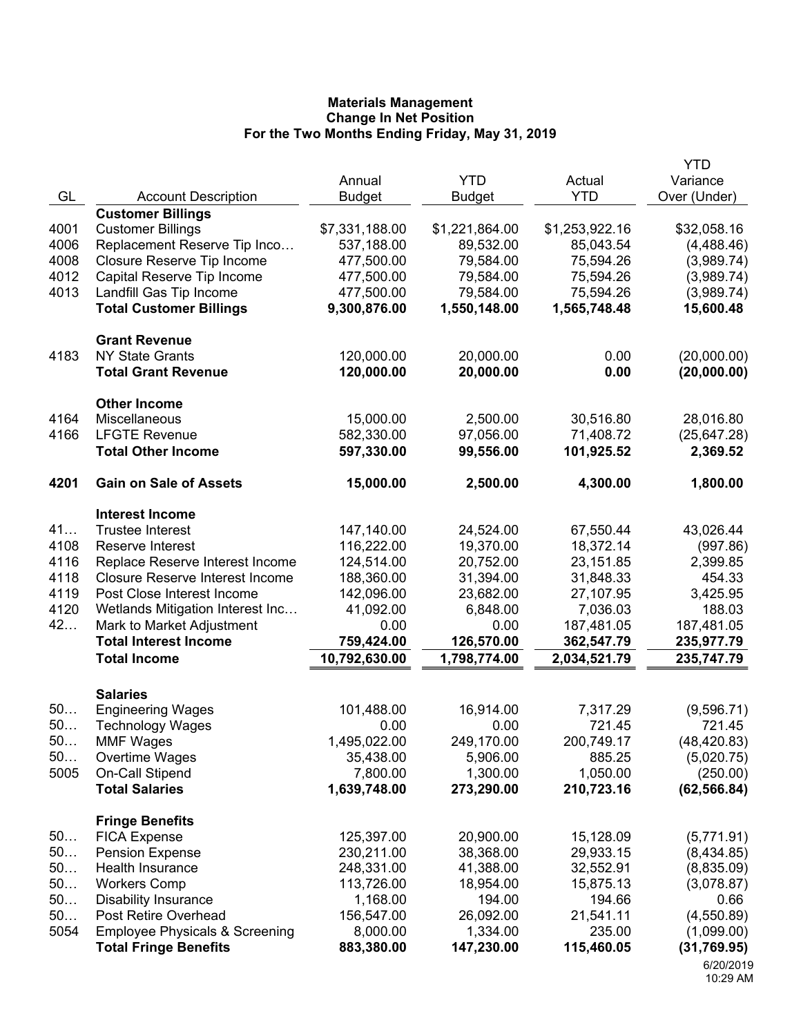|      |                                           |                |                |                | <b>YTD</b>               |
|------|-------------------------------------------|----------------|----------------|----------------|--------------------------|
|      |                                           | Annual         | <b>YTD</b>     | Actual         | Variance                 |
| GL   | <b>Account Description</b>                | <b>Budget</b>  | <b>Budget</b>  | <b>YTD</b>     | Over (Under)             |
|      | <b>Customer Billings</b>                  |                |                |                |                          |
| 4001 | <b>Customer Billings</b>                  | \$7,331,188.00 | \$1,221,864.00 | \$1,253,922.16 | \$32,058.16              |
| 4006 | Replacement Reserve Tip Inco              | 537,188.00     | 89,532.00      | 85,043.54      | (4,488.46)               |
| 4008 | Closure Reserve Tip Income                | 477,500.00     | 79,584.00      | 75,594.26      | (3,989.74)               |
| 4012 | Capital Reserve Tip Income                | 477,500.00     | 79,584.00      | 75,594.26      | (3,989.74)               |
| 4013 | Landfill Gas Tip Income                   | 477,500.00     | 79,584.00      | 75,594.26      | (3,989.74)               |
|      | <b>Total Customer Billings</b>            | 9,300,876.00   | 1,550,148.00   | 1,565,748.48   | 15,600.48                |
|      | <b>Grant Revenue</b>                      |                |                |                |                          |
| 4183 | <b>NY State Grants</b>                    | 120,000.00     | 20,000.00      | 0.00           | (20,000.00)              |
|      | <b>Total Grant Revenue</b>                | 120,000.00     | 20,000.00      | 0.00           | (20,000.00)              |
|      | <b>Other Income</b>                       |                |                |                |                          |
| 4164 | Miscellaneous                             | 15,000.00      | 2,500.00       | 30,516.80      | 28,016.80                |
| 4166 | <b>LFGTE Revenue</b>                      | 582,330.00     | 97,056.00      | 71,408.72      | (25, 647.28)             |
|      | <b>Total Other Income</b>                 | 597,330.00     | 99,556.00      | 101,925.52     | 2,369.52                 |
| 4201 | <b>Gain on Sale of Assets</b>             | 15,000.00      | 2,500.00       | 4,300.00       | 1,800.00                 |
|      | <b>Interest Income</b>                    |                |                |                |                          |
| 41   | <b>Trustee Interest</b>                   | 147,140.00     | 24,524.00      | 67,550.44      | 43,026.44                |
| 4108 | Reserve Interest                          | 116,222.00     | 19,370.00      | 18,372.14      | (997.86)                 |
| 4116 | Replace Reserve Interest Income           | 124,514.00     | 20,752.00      | 23,151.85      | 2,399.85                 |
| 4118 | <b>Closure Reserve Interest Income</b>    | 188,360.00     | 31,394.00      | 31,848.33      | 454.33                   |
| 4119 | Post Close Interest Income                | 142,096.00     | 23,682.00      | 27,107.95      | 3,425.95                 |
| 4120 | Wetlands Mitigation Interest Inc          | 41,092.00      | 6,848.00       | 7,036.03       | 188.03                   |
| 42   | Mark to Market Adjustment                 | 0.00           | 0.00           | 187,481.05     | 187,481.05               |
|      | <b>Total Interest Income</b>              | 759,424.00     | 126,570.00     | 362,547.79     | 235,977.79               |
|      | <b>Total Income</b>                       | 10,792,630.00  | 1,798,774.00   | 2,034,521.79   | 235,747.79               |
|      | <b>Salaries</b>                           |                |                |                |                          |
| 50   | <b>Engineering Wages</b>                  | 101,488.00     | 16,914.00      | 7,317.29       | (9,596.71)               |
| 50   | <b>Technology Wages</b>                   | 0.00           | 0.00           | 721.45         | 721.45                   |
| 50.  | <b>MMF Wages</b>                          | 1,495,022.00   | 249,170.00     | 200,749.17     | (48, 420.83)             |
| 50   | Overtime Wages                            | 35,438.00      | 5,906.00       | 885.25         | (5,020.75)               |
| 5005 | On-Call Stipend                           | 7,800.00       | 1,300.00       | 1,050.00       | (250.00)                 |
|      | <b>Total Salaries</b>                     | 1,639,748.00   | 273,290.00     | 210,723.16     | (62, 566.84)             |
|      | <b>Fringe Benefits</b>                    |                |                |                |                          |
| 50   | <b>FICA Expense</b>                       | 125,397.00     | 20,900.00      | 15,128.09      | (5,771.91)               |
| 50   | <b>Pension Expense</b>                    | 230,211.00     | 38,368.00      | 29,933.15      | (8,434.85)               |
| 50   | <b>Health Insurance</b>                   | 248,331.00     | 41,388.00      | 32,552.91      | (8,835.09)               |
| 50   | <b>Workers Comp</b>                       | 113,726.00     | 18,954.00      | 15,875.13      | (3,078.87)               |
| 50   | <b>Disability Insurance</b>               | 1,168.00       | 194.00         | 194.66         | 0.66                     |
| 50   | Post Retire Overhead                      | 156,547.00     | 26,092.00      | 21,541.11      | (4,550.89)               |
| 5054 | <b>Employee Physicals &amp; Screening</b> | 8,000.00       | 1,334.00       | 235.00         | (1,099.00)               |
|      | <b>Total Fringe Benefits</b>              | 883,380.00     | 147,230.00     | 115,460.05     | (31,769.95)<br>6/20/2019 |
|      |                                           |                |                |                |                          |

10:29 AM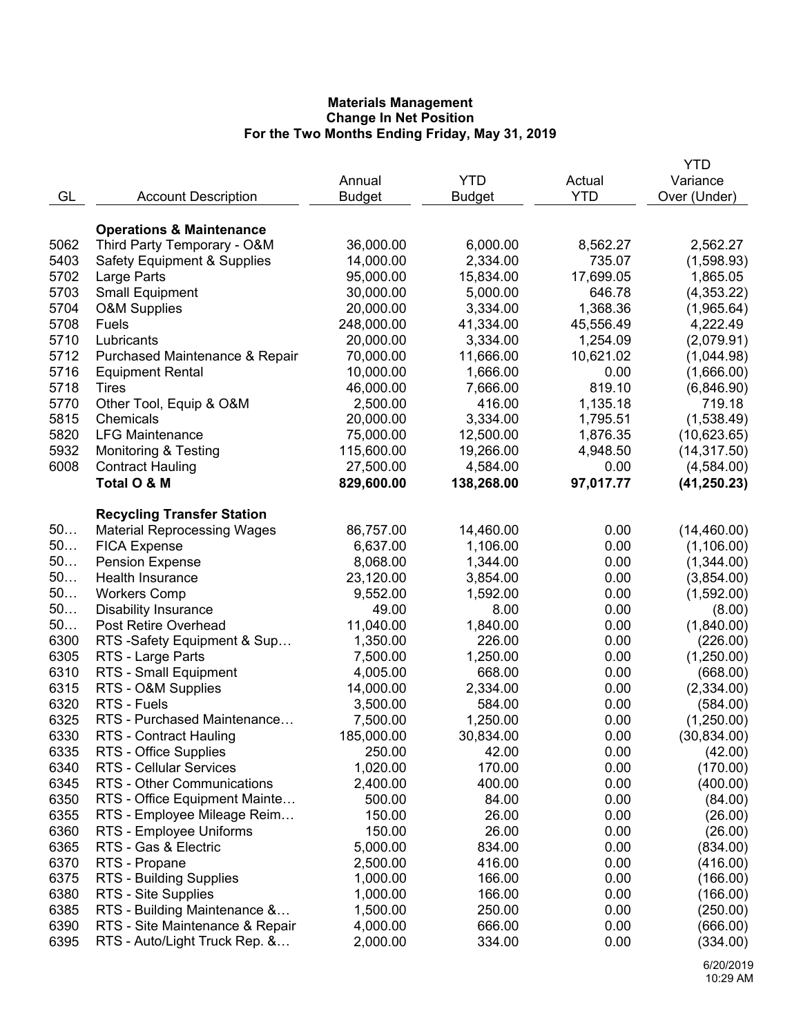|      |                                        |               |               |            | YTD          |
|------|----------------------------------------|---------------|---------------|------------|--------------|
|      |                                        | Annual        | <b>YTD</b>    | Actual     | Variance     |
| GL   | <b>Account Description</b>             | <b>Budget</b> | <b>Budget</b> | <b>YTD</b> | Over (Under) |
|      |                                        |               |               |            |              |
|      | <b>Operations &amp; Maintenance</b>    |               |               |            |              |
| 5062 | Third Party Temporary - O&M            | 36,000.00     | 6,000.00      | 8,562.27   | 2,562.27     |
| 5403 | <b>Safety Equipment &amp; Supplies</b> | 14,000.00     | 2,334.00      | 735.07     | (1,598.93)   |
| 5702 | Large Parts                            | 95,000.00     | 15,834.00     | 17,699.05  | 1,865.05     |
| 5703 | <b>Small Equipment</b>                 | 30,000.00     | 5,000.00      | 646.78     | (4,353.22)   |
| 5704 | <b>O&amp;M Supplies</b>                | 20,000.00     | 3,334.00      | 1,368.36   | (1,965.64)   |
| 5708 | Fuels                                  | 248,000.00    | 41,334.00     | 45,556.49  | 4,222.49     |
| 5710 | Lubricants                             | 20,000.00     | 3,334.00      | 1,254.09   | (2,079.91)   |
| 5712 | Purchased Maintenance & Repair         | 70,000.00     | 11,666.00     | 10,621.02  | (1,044.98)   |
| 5716 | <b>Equipment Rental</b>                | 10,000.00     | 1,666.00      | 0.00       | (1,666.00)   |
| 5718 | Tires                                  | 46,000.00     | 7,666.00      | 819.10     | (6,846.90)   |
| 5770 | Other Tool, Equip & O&M                | 2,500.00      | 416.00        | 1,135.18   | 719.18       |
| 5815 | Chemicals                              | 20,000.00     | 3,334.00      | 1,795.51   | (1,538.49)   |
| 5820 | <b>LFG Maintenance</b>                 | 75,000.00     | 12,500.00     | 1,876.35   | (10,623.65)  |
| 5932 | <b>Monitoring &amp; Testing</b>        | 115,600.00    | 19,266.00     | 4,948.50   | (14, 317.50) |
| 6008 | <b>Contract Hauling</b>                | 27,500.00     | 4,584.00      | 0.00       | (4,584.00)   |
|      | Total O & M                            | 829,600.00    | 138,268.00    | 97,017.77  | (41, 250.23) |
|      | <b>Recycling Transfer Station</b>      |               |               |            |              |
| 50   | <b>Material Reprocessing Wages</b>     | 86,757.00     | 14,460.00     | 0.00       | (14, 460.00) |
| 50   | <b>FICA Expense</b>                    | 6,637.00      | 1,106.00      | 0.00       | (1, 106.00)  |
| 50   | <b>Pension Expense</b>                 | 8,068.00      | 1,344.00      | 0.00       | (1,344.00)   |
| 50   | Health Insurance                       | 23,120.00     | 3,854.00      | 0.00       | (3,854.00)   |
| 50   | <b>Workers Comp</b>                    | 9,552.00      | 1,592.00      | 0.00       | (1,592.00)   |
| 50   | <b>Disability Insurance</b>            | 49.00         | 8.00          | 0.00       | (8.00)       |
| 50   | Post Retire Overhead                   | 11,040.00     | 1,840.00      | 0.00       | (1,840.00)   |
| 6300 | RTS-Safety Equipment & Sup             | 1,350.00      | 226.00        | 0.00       | (226.00)     |
| 6305 | RTS - Large Parts                      | 7,500.00      | 1,250.00      | 0.00       | (1,250.00)   |
| 6310 | RTS - Small Equipment                  | 4,005.00      | 668.00        | 0.00       | (668.00)     |
| 6315 | RTS - O&M Supplies                     | 14,000.00     | 2,334.00      | 0.00       | (2,334.00)   |
| 6320 | RTS - Fuels                            | 3,500.00      | 584.00        | 0.00       | (584.00)     |
| 6325 | RTS - Purchased Maintenance            | 7,500.00      | 1,250.00      | 0.00       | (1,250.00)   |
| 6330 | <b>RTS - Contract Hauling</b>          | 185,000.00    | 30,834.00     | 0.00       | (30, 834.00) |
| 6335 | RTS - Office Supplies                  | 250.00        | 42.00         | 0.00       | (42.00)      |
| 6340 | <b>RTS - Cellular Services</b>         | 1,020.00      | 170.00        | 0.00       | (170.00)     |
| 6345 | RTS - Other Communications             | 2,400.00      | 400.00        | 0.00       | (400.00)     |
| 6350 | RTS - Office Equipment Mainte          | 500.00        | 84.00         | 0.00       | (84.00)      |
| 6355 | RTS - Employee Mileage Reim            | 150.00        | 26.00         | 0.00       | (26.00)      |
| 6360 | RTS - Employee Uniforms                | 150.00        | 26.00         | 0.00       | (26.00)      |
| 6365 | RTS - Gas & Electric                   | 5,000.00      | 834.00        | 0.00       | (834.00)     |
| 6370 | RTS - Propane                          | 2,500.00      | 416.00        | 0.00       | (416.00)     |
| 6375 | <b>RTS - Building Supplies</b>         | 1,000.00      | 166.00        | 0.00       | (166.00)     |
| 6380 | RTS - Site Supplies                    | 1,000.00      | 166.00        | 0.00       | (166.00)     |
| 6385 | RTS - Building Maintenance &           | 1,500.00      | 250.00        | 0.00       | (250.00)     |
| 6390 | RTS - Site Maintenance & Repair        | 4,000.00      | 666.00        | 0.00       | (666.00)     |
| 6395 | RTS - Auto/Light Truck Rep. &          | 2,000.00      | 334.00        | 0.00       | (334.00)     |
|      |                                        |               |               |            |              |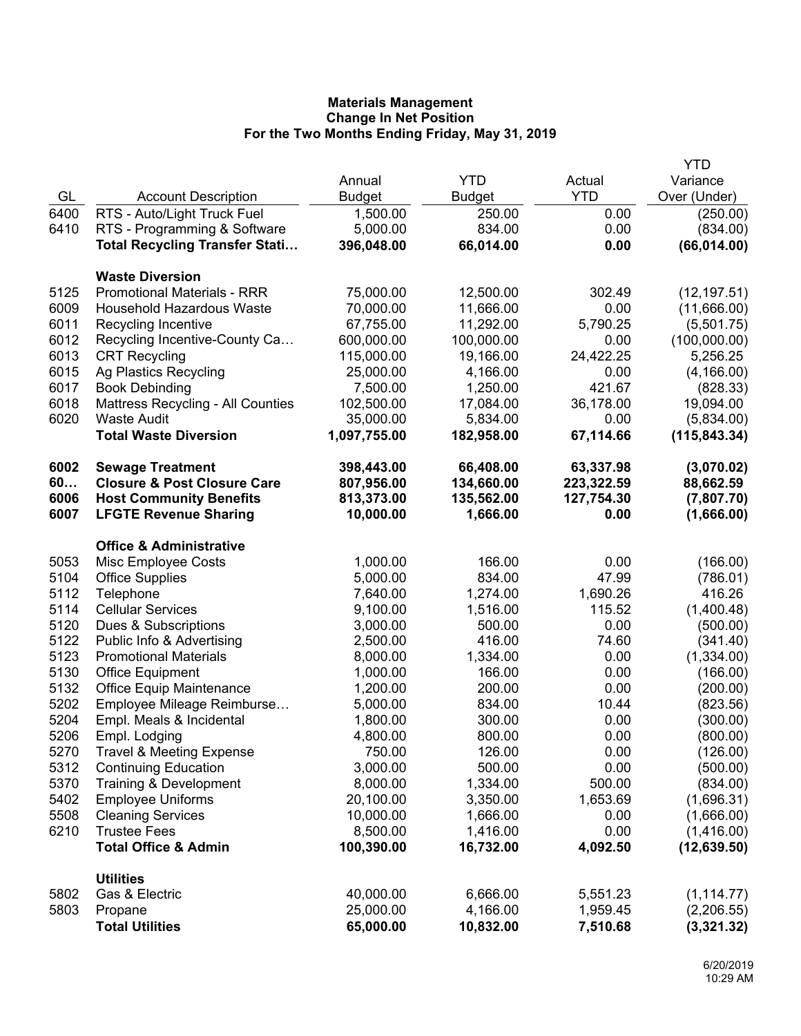|      |                                          |               |               |            | YTD           |
|------|------------------------------------------|---------------|---------------|------------|---------------|
|      |                                          | Annual        | <b>YTD</b>    | Actual     | Variance      |
| GL   | <b>Account Description</b>               | <b>Budget</b> | <b>Budget</b> | <b>YTD</b> | Over (Under)  |
| 6400 | RTS - Auto/Light Truck Fuel              | 1,500.00      | 250.00        | 0.00       | (250.00)      |
| 6410 | RTS - Programming & Software             | 5,000.00      | 834.00        | 0.00       | (834.00)      |
|      | <b>Total Recycling Transfer Stati</b>    | 396,048.00    | 66,014.00     | 0.00       | (66, 014.00)  |
|      |                                          |               |               |            |               |
|      | <b>Waste Diversion</b>                   |               |               |            |               |
| 5125 | <b>Promotional Materials - RRR</b>       | 75,000.00     | 12,500.00     | 302.49     | (12, 197.51)  |
| 6009 | Household Hazardous Waste                | 70,000.00     | 11,666.00     | 0.00       | (11,666.00)   |
| 6011 | Recycling Incentive                      | 67,755.00     | 11,292.00     | 5,790.25   | (5,501.75)    |
| 6012 | Recycling Incentive-County Ca            | 600,000.00    | 100,000.00    | 0.00       | (100,000.00)  |
| 6013 | <b>CRT Recycling</b>                     | 115,000.00    | 19,166.00     | 24,422.25  | 5,256.25      |
| 6015 | Ag Plastics Recycling                    | 25,000.00     | 4,166.00      | 0.00       | (4, 166.00)   |
| 6017 | <b>Book Debinding</b>                    | 7,500.00      | 1,250.00      | 421.67     | (828.33)      |
| 6018 | <b>Mattress Recycling - All Counties</b> | 102,500.00    | 17,084.00     | 36,178.00  | 19,094.00     |
| 6020 | <b>Waste Audit</b>                       | 35,000.00     | 5,834.00      | 0.00       | (5,834.00)    |
|      | <b>Total Waste Diversion</b>             | 1,097,755.00  | 182,958.00    | 67,114.66  | (115, 843.34) |
| 6002 | <b>Sewage Treatment</b>                  | 398,443.00    | 66,408.00     | 63,337.98  | (3,070.02)    |
| 60   | <b>Closure &amp; Post Closure Care</b>   | 807,956.00    | 134,660.00    | 223,322.59 | 88,662.59     |
| 6006 | <b>Host Community Benefits</b>           | 813,373.00    | 135,562.00    | 127,754.30 | (7,807.70)    |
| 6007 | <b>LFGTE Revenue Sharing</b>             | 10,000.00     | 1,666.00      | 0.00       | (1,666.00)    |
|      |                                          |               |               |            |               |
|      | <b>Office &amp; Administrative</b>       |               |               |            |               |
| 5053 | Misc Employee Costs                      | 1,000.00      | 166.00        | 0.00       | (166.00)      |
| 5104 | <b>Office Supplies</b>                   | 5,000.00      | 834.00        | 47.99      | (786.01)      |
| 5112 | Telephone                                | 7,640.00      | 1,274.00      | 1,690.26   | 416.26        |
| 5114 | <b>Cellular Services</b>                 | 9,100.00      | 1,516.00      | 115.52     | (1,400.48)    |
| 5120 | Dues & Subscriptions                     | 3,000.00      | 500.00        | 0.00       | (500.00)      |
| 5122 | Public Info & Advertising                | 2,500.00      | 416.00        | 74.60      | (341.40)      |
| 5123 | <b>Promotional Materials</b>             | 8,000.00      | 1,334.00      | 0.00       | (1,334.00)    |
| 5130 | <b>Office Equipment</b>                  | 1,000.00      | 166.00        | 0.00       | (166.00)      |
| 5132 | <b>Office Equip Maintenance</b>          | 1,200.00      | 200.00        | 0.00       | (200.00)      |
| 5202 | Employee Mileage Reimburse               | 5,000.00      | 834.00        | 10.44      | (823.56)      |
| 5204 | Empl. Meals & Incidental                 | 1,800.00      | 300.00        | 0.00       | (300.00)      |
| 5206 | Empl. Lodging                            | 4,800.00      | 800.00        | 0.00       | (800.00)      |
| 5270 | <b>Travel &amp; Meeting Expense</b>      | 750.00        | 126.00        | 0.00       | (126.00)      |
| 5312 | <b>Continuing Education</b>              | 3,000.00      | 500.00        | 0.00       | (500.00)      |
| 5370 | Training & Development                   | 8,000.00      | 1,334.00      | 500.00     | (834.00)      |
| 5402 | <b>Employee Uniforms</b>                 | 20,100.00     | 3,350.00      | 1,653.69   | (1,696.31)    |
| 5508 | <b>Cleaning Services</b>                 | 10,000.00     | 1,666.00      | 0.00       | (1,666.00)    |
| 6210 | <b>Trustee Fees</b>                      | 8,500.00      | 1,416.00      | 0.00       | (1,416.00)    |
|      | <b>Total Office &amp; Admin</b>          | 100,390.00    | 16,732.00     | 4,092.50   | (12, 639.50)  |
|      | <b>Utilities</b>                         |               |               |            |               |
| 5802 | Gas & Electric                           | 40,000.00     | 6,666.00      | 5,551.23   | (1, 114.77)   |
| 5803 | Propane                                  | 25,000.00     | 4,166.00      | 1,959.45   | (2,206.55)    |
|      | <b>Total Utilities</b>                   | 65,000.00     | 10,832.00     | 7,510.68   | (3,321.32)    |
|      |                                          |               |               |            |               |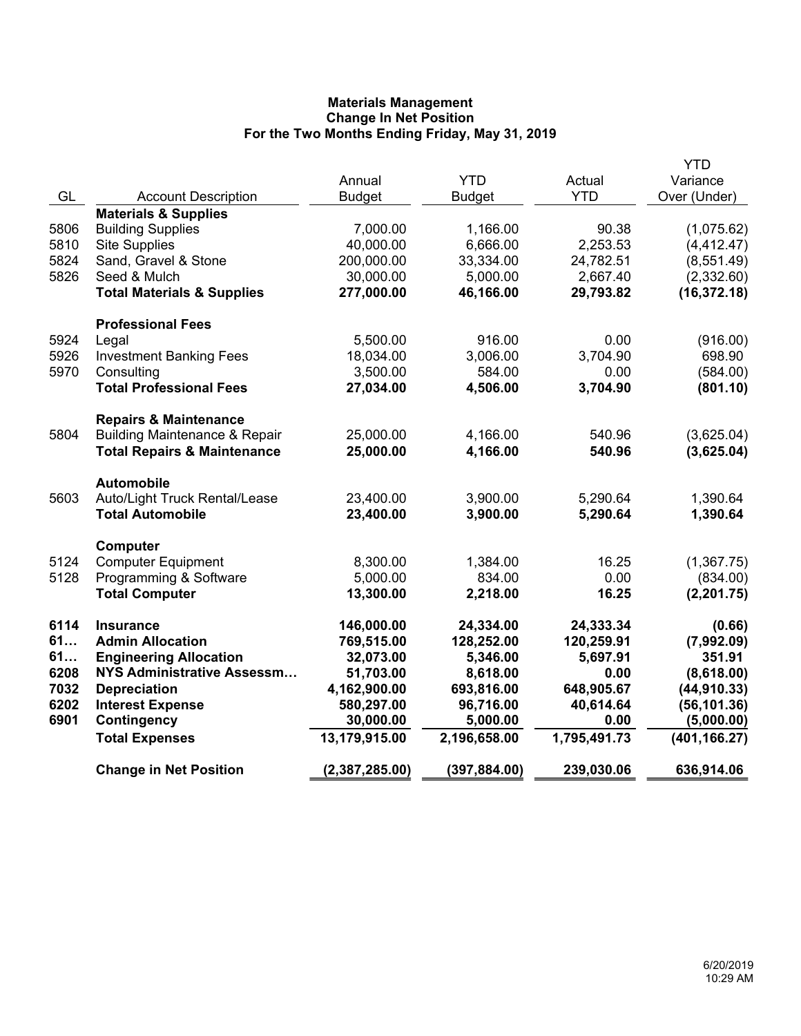|      |                                          |                |               |              | <b>YTD</b>    |
|------|------------------------------------------|----------------|---------------|--------------|---------------|
|      |                                          | Annual         | <b>YTD</b>    | Actual       | Variance      |
| GL   | <b>Account Description</b>               | <b>Budget</b>  | <b>Budget</b> | <b>YTD</b>   | Over (Under)  |
|      | <b>Materials &amp; Supplies</b>          |                |               |              |               |
| 5806 | <b>Building Supplies</b>                 | 7,000.00       | 1,166.00      | 90.38        | (1,075.62)    |
| 5810 | <b>Site Supplies</b>                     | 40,000.00      | 6,666.00      | 2,253.53     | (4, 412.47)   |
| 5824 | Sand, Gravel & Stone                     | 200,000.00     | 33,334.00     | 24,782.51    | (8,551.49)    |
| 5826 | Seed & Mulch                             | 30,000.00      | 5,000.00      | 2,667.40     | (2,332.60)    |
|      | <b>Total Materials &amp; Supplies</b>    | 277,000.00     | 46,166.00     | 29,793.82    | (16, 372.18)  |
|      | <b>Professional Fees</b>                 |                |               |              |               |
| 5924 | Legal                                    | 5,500.00       | 916.00        | 0.00         | (916.00)      |
| 5926 | <b>Investment Banking Fees</b>           | 18,034.00      | 3,006.00      | 3,704.90     | 698.90        |
| 5970 | Consulting                               | 3,500.00       | 584.00        | 0.00         | (584.00)      |
|      | <b>Total Professional Fees</b>           | 27,034.00      | 4,506.00      | 3,704.90     | (801.10)      |
|      |                                          |                |               |              |               |
|      | <b>Repairs &amp; Maintenance</b>         |                |               |              |               |
| 5804 | <b>Building Maintenance &amp; Repair</b> | 25,000.00      | 4,166.00      | 540.96       | (3,625.04)    |
|      | <b>Total Repairs &amp; Maintenance</b>   | 25,000.00      | 4,166.00      | 540.96       | (3,625.04)    |
|      | <b>Automobile</b>                        |                |               |              |               |
| 5603 | Auto/Light Truck Rental/Lease            | 23,400.00      | 3,900.00      | 5,290.64     | 1,390.64      |
|      | <b>Total Automobile</b>                  | 23,400.00      | 3,900.00      | 5,290.64     | 1,390.64      |
|      |                                          |                |               |              |               |
|      | Computer                                 |                |               |              |               |
| 5124 | <b>Computer Equipment</b>                | 8,300.00       | 1,384.00      | 16.25        | (1,367.75)    |
| 5128 | Programming & Software                   | 5,000.00       | 834.00        | 0.00         | (834.00)      |
|      | <b>Total Computer</b>                    | 13,300.00      | 2,218.00      | 16.25        | (2, 201.75)   |
| 6114 | <b>Insurance</b>                         | 146,000.00     | 24,334.00     | 24,333.34    | (0.66)        |
| 61   | <b>Admin Allocation</b>                  | 769,515.00     | 128,252.00    | 120,259.91   | (7,992.09)    |
| 61   | <b>Engineering Allocation</b>            | 32,073.00      | 5,346.00      | 5,697.91     | 351.91        |
| 6208 | NYS Administrative Assessm               | 51,703.00      | 8,618.00      | 0.00         | (8,618.00)    |
| 7032 | <b>Depreciation</b>                      | 4,162,900.00   | 693,816.00    | 648,905.67   | (44, 910.33)  |
| 6202 | <b>Interest Expense</b>                  | 580,297.00     | 96,716.00     | 40,614.64    | (56, 101.36)  |
| 6901 | Contingency                              | 30,000.00      | 5,000.00      | 0.00         | (5,000.00)    |
|      | <b>Total Expenses</b>                    | 13,179,915.00  | 2,196,658.00  | 1,795,491.73 | (401, 166.27) |
|      | <b>Change in Net Position</b>            | (2,387,285.00) | (397, 884.00) | 239,030.06   | 636,914.06    |
|      |                                          |                |               |              |               |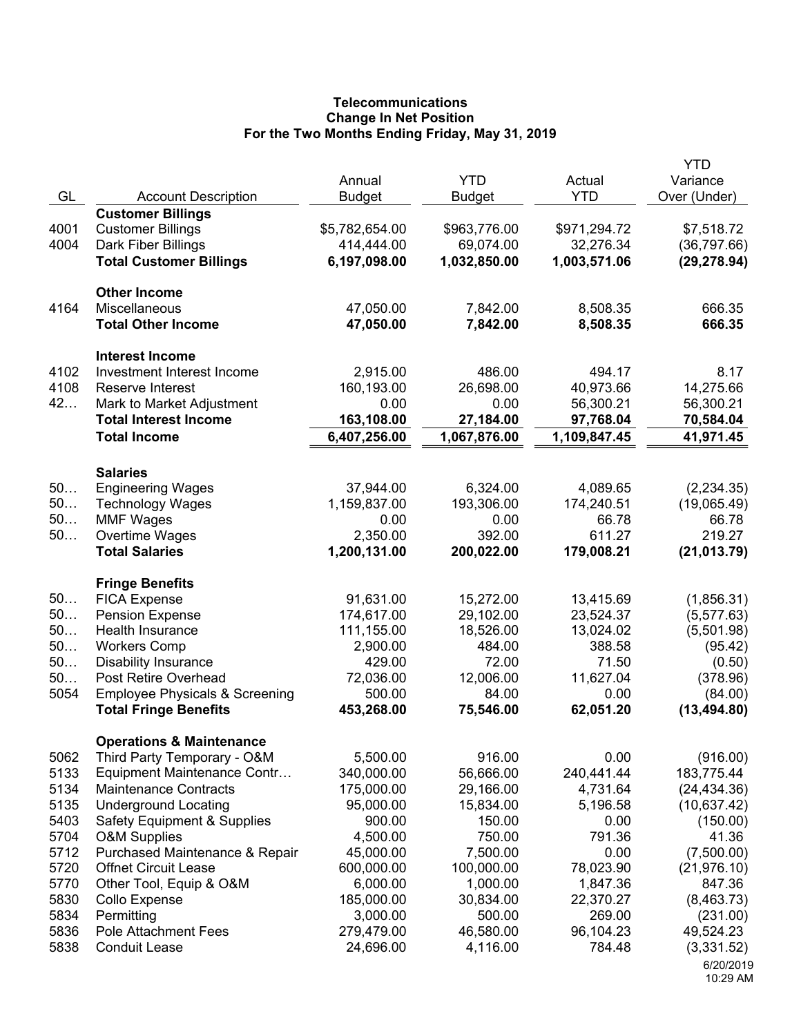## **Telecommunications Change In Net Position For the Two Months Ending Friday, May 31, 2019**

| GL           | <b>Account Description</b>                                                  | Annual<br><b>Budget</b>      | <b>YTD</b><br><b>Budget</b> | Actual<br><b>YTD</b>      | <b>YTD</b><br>Variance<br>Over (Under) |
|--------------|-----------------------------------------------------------------------------|------------------------------|-----------------------------|---------------------------|----------------------------------------|
| 4001<br>4004 | <b>Customer Billings</b><br><b>Customer Billings</b><br>Dark Fiber Billings | \$5,782,654.00<br>414,444.00 | \$963,776.00<br>69,074.00   | \$971,294.72<br>32,276.34 | \$7,518.72<br>(36, 797.66)             |
|              | <b>Total Customer Billings</b>                                              | 6,197,098.00                 | 1,032,850.00                | 1,003,571.06              | (29, 278.94)                           |
| 4164         | <b>Other Income</b><br>Miscellaneous                                        | 47,050.00                    | 7,842.00                    | 8,508.35                  | 666.35                                 |
|              | <b>Total Other Income</b>                                                   | 47,050.00                    | 7,842.00                    | 8,508.35                  | 666.35                                 |
| 4102         | <b>Interest Income</b><br>Investment Interest Income                        | 2,915.00                     | 486.00                      | 494.17                    | 8.17                                   |
| 4108         | <b>Reserve Interest</b>                                                     | 160,193.00                   | 26,698.00                   | 40,973.66                 | 14,275.66                              |
| 42           | Mark to Market Adjustment                                                   | 0.00                         | 0.00                        | 56,300.21                 | 56,300.21                              |
|              | <b>Total Interest Income</b>                                                | 163,108.00                   | 27,184.00                   | 97,768.04                 | 70,584.04                              |
|              | <b>Total Income</b>                                                         | 6,407,256.00                 | 1,067,876.00                | 1,109,847.45              | 41,971.45                              |
|              | <b>Salaries</b>                                                             |                              |                             |                           |                                        |
| 50           | <b>Engineering Wages</b>                                                    | 37,944.00                    | 6,324.00                    | 4,089.65                  | (2, 234.35)                            |
| 50<br>50     | <b>Technology Wages</b><br><b>MMF Wages</b>                                 | 1,159,837.00<br>0.00         | 193,306.00<br>0.00          | 174,240.51<br>66.78       | (19,065.49)<br>66.78                   |
| $50$         | Overtime Wages                                                              | 2,350.00                     | 392.00                      | 611.27                    | 219.27                                 |
|              | <b>Total Salaries</b>                                                       | 1,200,131.00                 | 200,022.00                  | 179,008.21                | (21, 013.79)                           |
|              | <b>Fringe Benefits</b>                                                      |                              |                             |                           |                                        |
| 50           | <b>FICA Expense</b>                                                         | 91,631.00                    | 15,272.00                   | 13,415.69                 | (1,856.31)                             |
| 50           | <b>Pension Expense</b>                                                      | 174,617.00                   | 29,102.00                   | 23,524.37                 | (5, 577.63)                            |
| 50<br>50     | Health Insurance                                                            | 111,155.00<br>2,900.00       | 18,526.00<br>484.00         | 13,024.02<br>388.58       | (5,501.98)                             |
| 50           | <b>Workers Comp</b><br><b>Disability Insurance</b>                          | 429.00                       | 72.00                       | 71.50                     | (95.42)<br>(0.50)                      |
| 50           | Post Retire Overhead                                                        | 72,036.00                    | 12,006.00                   | 11,627.04                 | (378.96)                               |
| 5054         | <b>Employee Physicals &amp; Screening</b>                                   | 500.00                       | 84.00                       | 0.00                      | (84.00)                                |
|              | <b>Total Fringe Benefits</b>                                                | 453,268.00                   | 75,546.00                   | 62,051.20                 | (13, 494.80)                           |
|              | <b>Operations &amp; Maintenance</b>                                         |                              |                             |                           |                                        |
| 5062<br>5133 | Third Party Temporary - O&M                                                 | 5,500.00                     | 916.00                      | 0.00                      | (916.00)                               |
| 5134         | Equipment Maintenance Contr<br><b>Maintenance Contracts</b>                 | 340,000.00<br>175,000.00     | 56,666.00<br>29,166.00      | 240,441.44<br>4,731.64    | 183,775.44<br>(24, 434.36)             |
| 5135         | <b>Underground Locating</b>                                                 | 95,000.00                    | 15,834.00                   | 5,196.58                  | (10, 637.42)                           |
| 5403         | <b>Safety Equipment &amp; Supplies</b>                                      | 900.00                       | 150.00                      | 0.00                      | (150.00)                               |
| 5704         | <b>O&amp;M Supplies</b>                                                     | 4,500.00                     | 750.00                      | 791.36                    | 41.36                                  |
| 5712         | Purchased Maintenance & Repair                                              | 45,000.00                    | 7,500.00                    | 0.00                      | (7,500.00)                             |
| 5720         | <b>Offnet Circuit Lease</b>                                                 | 600,000.00                   | 100,000.00                  | 78,023.90                 | (21, 976.10)                           |
| 5770         | Other Tool, Equip & O&M                                                     | 6,000.00                     | 1,000.00                    | 1,847.36                  | 847.36                                 |
| 5830         | Collo Expense                                                               | 185,000.00                   | 30,834.00                   | 22,370.27                 | (8,463.73)                             |
| 5834         | Permitting                                                                  | 3,000.00                     | 500.00                      | 269.00                    | (231.00)                               |
| 5836<br>5838 | <b>Pole Attachment Fees</b><br><b>Conduit Lease</b>                         | 279,479.00<br>24,696.00      | 46,580.00                   | 96,104.23<br>784.48       | 49,524.23                              |
|              |                                                                             |                              | 4,116.00                    |                           | (3,331.52)<br>6/20/2019                |
|              |                                                                             |                              |                             |                           | 10:29 AM                               |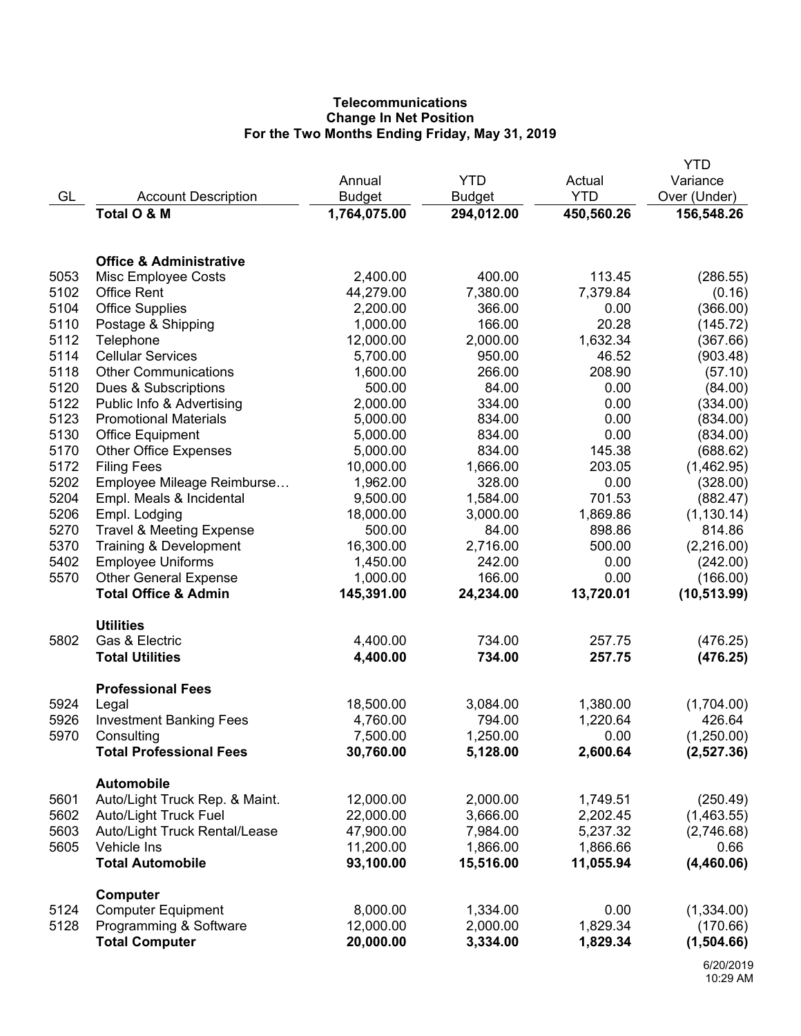# **Telecommunications Change In Net Position For the Two Months Ending Friday, May 31, 2019**

|              |                                                           |                      |                    |                      | YTD                  |
|--------------|-----------------------------------------------------------|----------------------|--------------------|----------------------|----------------------|
|              |                                                           | Annual               | <b>YTD</b>         | Actual               | Variance             |
| GL           | <b>Account Description</b>                                | <b>Budget</b>        | <b>Budget</b>      | <b>YTD</b>           | Over (Under)         |
|              | Total O & M                                               | 1,764,075.00         | 294,012.00         | 450,560.26           | 156,548.26           |
|              | <b>Office &amp; Administrative</b>                        |                      |                    |                      |                      |
| 5053         |                                                           | 2,400.00             | 400.00             | 113.45               |                      |
| 5102         | Misc Employee Costs<br><b>Office Rent</b>                 | 44,279.00            | 7,380.00           | 7,379.84             | (286.55)             |
| 5104         | <b>Office Supplies</b>                                    | 2,200.00             | 366.00             | 0.00                 | (0.16)<br>(366.00)   |
| 5110         |                                                           | 1,000.00             | 166.00             | 20.28                | (145.72)             |
| 5112         | Postage & Shipping                                        | 12,000.00            | 2,000.00           | 1,632.34             | (367.66)             |
| 5114         | Telephone<br><b>Cellular Services</b>                     | 5,700.00             | 950.00             | 46.52                | (903.48)             |
| 5118         | <b>Other Communications</b>                               | 1,600.00             | 266.00             | 208.90               |                      |
| 5120         | Dues & Subscriptions                                      | 500.00               | 84.00              | 0.00                 | (57.10)              |
| 5122         |                                                           | 2,000.00             | 334.00             | 0.00                 | (84.00)<br>(334.00)  |
| 5123         | Public Info & Advertising<br><b>Promotional Materials</b> | 5,000.00             | 834.00             | 0.00                 | (834.00)             |
| 5130         |                                                           | 5,000.00             | 834.00             | 0.00                 | (834.00)             |
| 5170         | <b>Office Equipment</b><br><b>Other Office Expenses</b>   | 5,000.00             | 834.00             | 145.38               | (688.62)             |
| 5172         | <b>Filing Fees</b>                                        | 10,000.00            | 1,666.00           | 203.05               | (1,462.95)           |
| 5202         | Employee Mileage Reimburse                                | 1,962.00             | 328.00             | 0.00                 |                      |
| 5204         | Empl. Meals & Incidental                                  | 9,500.00             | 1,584.00           | 701.53               | (328.00)<br>(882.47) |
| 5206         | Empl. Lodging                                             | 18,000.00            | 3,000.00           | 1,869.86             | (1, 130.14)          |
| 5270         | <b>Travel &amp; Meeting Expense</b>                       | 500.00               | 84.00              | 898.86               | 814.86               |
| 5370         | Training & Development                                    | 16,300.00            | 2,716.00           | 500.00               | (2,216.00)           |
| 5402         | <b>Employee Uniforms</b>                                  | 1,450.00             | 242.00             | 0.00                 | (242.00)             |
| 5570         | <b>Other General Expense</b>                              | 1,000.00             | 166.00             | 0.00                 | (166.00)             |
|              | <b>Total Office &amp; Admin</b>                           | 145,391.00           | 24,234.00          | 13,720.01            | (10, 513.99)         |
|              |                                                           |                      |                    |                      |                      |
|              | <b>Utilities</b>                                          |                      |                    |                      |                      |
| 5802         | Gas & Electric                                            | 4,400.00             | 734.00             | 257.75               | (476.25)             |
|              | <b>Total Utilities</b>                                    | 4,400.00             | 734.00             | 257.75               | (476.25)             |
|              |                                                           |                      |                    |                      |                      |
|              | <b>Professional Fees</b>                                  |                      |                    |                      |                      |
| 5924<br>5926 | Legal                                                     | 18,500.00            | 3,084.00<br>794.00 | 1,380.00<br>1,220.64 | (1,704.00)<br>426.64 |
| 5970         | <b>Investment Banking Fees</b><br>Consulting              | 4,760.00<br>7,500.00 | 1,250.00           | 0.00                 | (1,250.00)           |
|              | <b>Total Professional Fees</b>                            | 30,760.00            | 5,128.00           | 2,600.64             | (2,527.36)           |
|              |                                                           |                      |                    |                      |                      |
|              | <b>Automobile</b>                                         |                      |                    |                      |                      |
| 5601         | Auto/Light Truck Rep. & Maint.                            | 12,000.00            | 2,000.00           | 1,749.51             | (250.49)             |
| 5602         | <b>Auto/Light Truck Fuel</b>                              | 22,000.00            | 3,666.00           | 2,202.45             | (1,463.55)           |
| 5603         | Auto/Light Truck Rental/Lease                             | 47,900.00            | 7,984.00           | 5,237.32             | (2,746.68)           |
| 5605         | Vehicle Ins                                               | 11,200.00            | 1,866.00           | 1,866.66             | 0.66                 |
|              | <b>Total Automobile</b>                                   | 93,100.00            | 15,516.00          | 11,055.94            | (4,460.06)           |
|              | Computer                                                  |                      |                    |                      |                      |
| 5124         | <b>Computer Equipment</b>                                 | 8,000.00             | 1,334.00           | 0.00                 | (1,334.00)           |
| 5128         | Programming & Software                                    | 12,000.00            | 2,000.00           | 1,829.34             | (170.66)             |
|              | <b>Total Computer</b>                                     | 20,000.00            | 3,334.00           | 1,829.34             | (1,504.66)           |
|              |                                                           |                      |                    |                      |                      |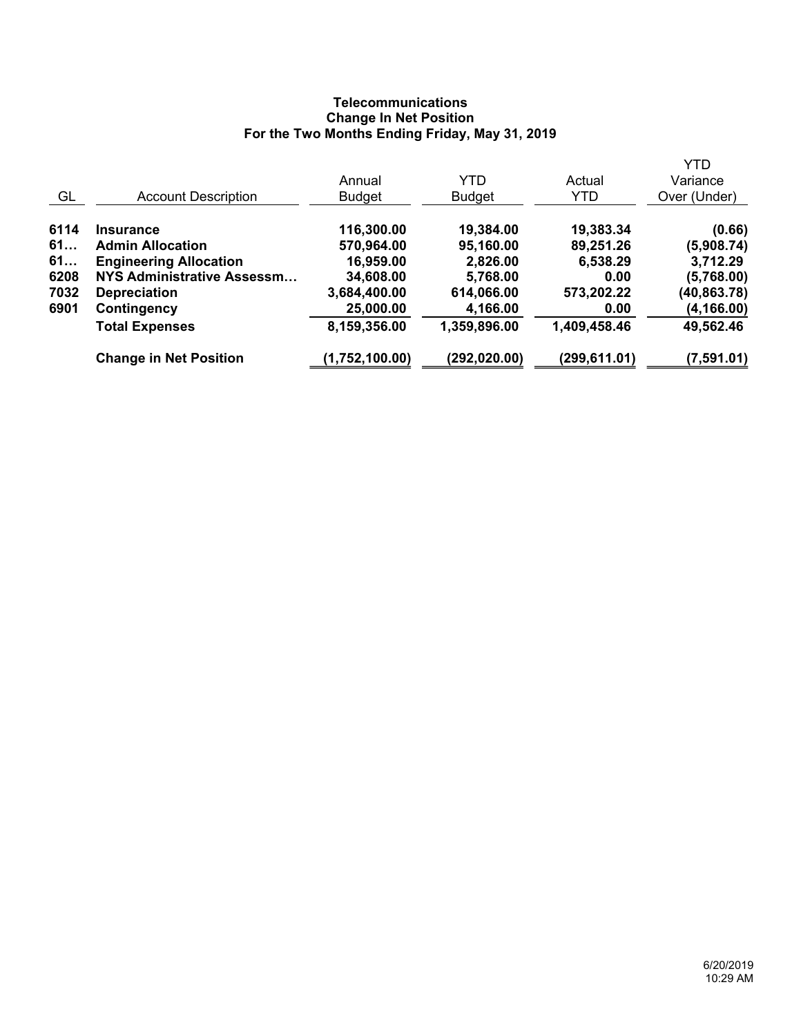# **Telecommunications Change In Net Position For the Two Months Ending Friday, May 31, 2019**

|      |                               |                |               |               | <b>YTD</b>   |
|------|-------------------------------|----------------|---------------|---------------|--------------|
|      |                               | Annual         | <b>YTD</b>    | Actual        | Variance     |
| GL   | <b>Account Description</b>    | <b>Budget</b>  | <b>Budget</b> | YTD           | Over (Under) |
| 6114 | <b>Insurance</b>              | 116,300.00     | 19,384.00     | 19,383.34     | (0.66)       |
| 61   | <b>Admin Allocation</b>       | 570,964.00     | 95,160.00     | 89,251.26     | (5,908.74)   |
| 61   | <b>Engineering Allocation</b> | 16,959.00      | 2,826.00      | 6,538.29      | 3,712.29     |
| 6208 | NYS Administrative Assessm    | 34,608.00      | 5,768.00      | 0.00          | (5,768.00)   |
| 7032 | <b>Depreciation</b>           | 3,684,400.00   | 614,066.00    | 573,202.22    | (40,863.78)  |
| 6901 | Contingency                   | 25,000.00      | 4,166.00      | 0.00          | (4, 166.00)  |
|      | <b>Total Expenses</b>         | 8,159,356.00   | 1,359,896.00  | 1,409,458.46  | 49,562.46    |
|      | <b>Change in Net Position</b> | (1,752,100.00) | (292,020.00)  | (299, 611.01) | (7,591.01)   |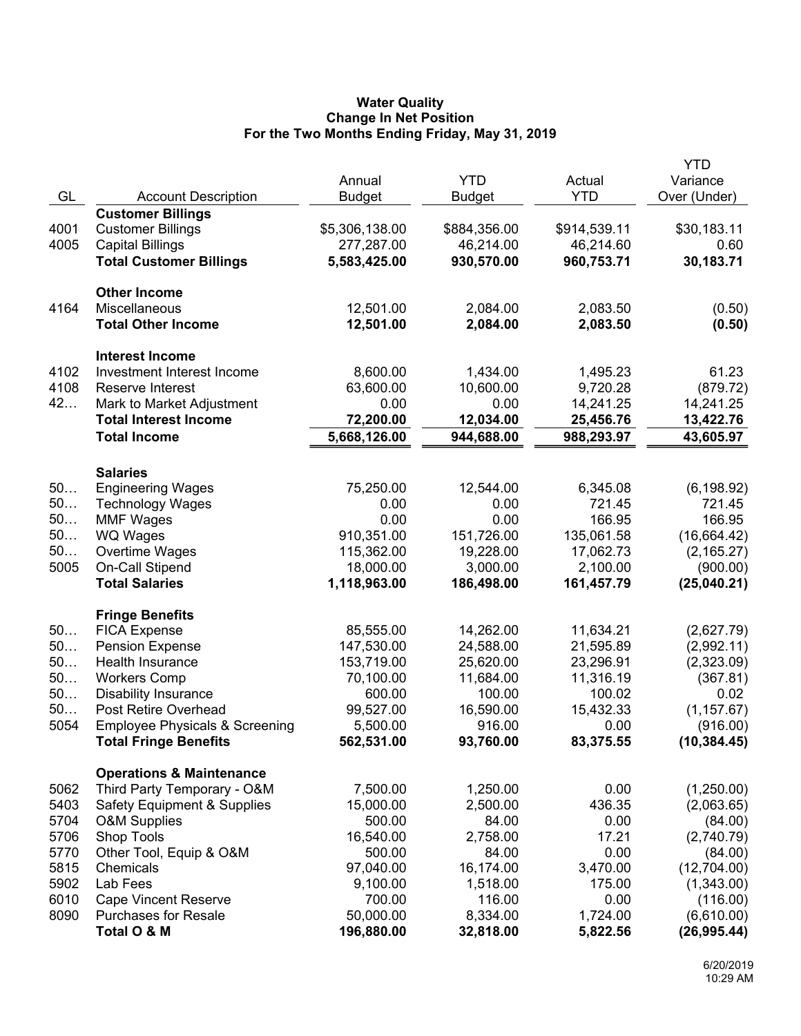## **Water Quality Change In Net Position For the Two Months Ending Friday, May 31, 2019**

|      |                                           |                |               |                    | YTD                   |
|------|-------------------------------------------|----------------|---------------|--------------------|-----------------------|
|      |                                           | Annual         | <b>YTD</b>    | Actual             | Variance              |
| GL   | <b>Account Description</b>                | <b>Budget</b>  | <b>Budget</b> | <b>YTD</b>         | Over (Under)          |
|      | <b>Customer Billings</b>                  |                |               |                    |                       |
| 4001 | <b>Customer Billings</b>                  | \$5,306,138.00 | \$884,356.00  | \$914,539.11       | \$30,183.11           |
| 4005 | <b>Capital Billings</b>                   | 277,287.00     | 46,214.00     | 46,214.60          | 0.60                  |
|      | <b>Total Customer Billings</b>            | 5,583,425.00   | 930,570.00    | 960,753.71         | 30,183.71             |
|      | <b>Other Income</b>                       |                |               |                    |                       |
| 4164 | Miscellaneous                             | 12,501.00      | 2,084.00      | 2,083.50           | (0.50)                |
|      | <b>Total Other Income</b>                 | 12,501.00      | 2,084.00      | 2,083.50           | (0.50)                |
|      |                                           |                |               |                    |                       |
|      | <b>Interest Income</b>                    |                |               |                    |                       |
| 4102 | Investment Interest Income                | 8,600.00       | 1,434.00      | 1,495.23           | 61.23                 |
| 4108 | Reserve Interest                          | 63,600.00      | 10,600.00     | 9,720.28           | (879.72)              |
| 42   | Mark to Market Adjustment                 | 0.00           | 0.00          | 14,241.25          | 14,241.25             |
|      | <b>Total Interest Income</b>              | 72,200.00      | 12,034.00     | 25,456.76          | 13,422.76             |
|      | <b>Total Income</b>                       | 5,668,126.00   | 944,688.00    | 988,293.97         | 43,605.97             |
|      |                                           |                |               |                    |                       |
| 50   | <b>Salaries</b>                           | 75,250.00      |               |                    |                       |
| 50   | <b>Engineering Wages</b>                  |                | 12,544.00     | 6,345.08<br>721.45 | (6, 198.92)<br>721.45 |
| 50   | <b>Technology Wages</b>                   | 0.00<br>0.00   | 0.00<br>0.00  | 166.95             | 166.95                |
| 50   | <b>MMF Wages</b>                          | 910,351.00     | 151,726.00    | 135,061.58         | (16, 664.42)          |
| 50   | <b>WQ Wages</b><br>Overtime Wages         | 115,362.00     | 19,228.00     | 17,062.73          | (2, 165.27)           |
| 5005 | On-Call Stipend                           | 18,000.00      | 3,000.00      | 2,100.00           | (900.00)              |
|      | <b>Total Salaries</b>                     | 1,118,963.00   | 186,498.00    | 161,457.79         | (25,040.21)           |
|      |                                           |                |               |                    |                       |
|      | <b>Fringe Benefits</b>                    |                |               |                    |                       |
| 50   | <b>FICA Expense</b>                       | 85,555.00      | 14,262.00     | 11,634.21          | (2,627.79)            |
| 50   | <b>Pension Expense</b>                    | 147,530.00     | 24,588.00     | 21,595.89          | (2,992.11)            |
| 50   | Health Insurance                          | 153,719.00     | 25,620.00     | 23,296.91          | (2,323.09)            |
| 50   | <b>Workers Comp</b>                       | 70,100.00      | 11,684.00     | 11,316.19          | (367.81)              |
| 50   | <b>Disability Insurance</b>               | 600.00         | 100.00        | 100.02             | 0.02                  |
| 50   | Post Retire Overhead                      | 99,527.00      | 16,590.00     | 15,432.33          | (1, 157.67)           |
| 5054 | <b>Employee Physicals &amp; Screening</b> | 5,500.00       | 916.00        | 0.00               | (916.00)              |
|      | <b>Total Fringe Benefits</b>              | 562,531.00     | 93,760.00     | 83,375.55          | (10, 384.45)          |
|      | <b>Operations &amp; Maintenance</b>       |                |               |                    |                       |
| 5062 | Third Party Temporary - O&M               | 7,500.00       | 1,250.00      | 0.00               | (1,250.00)            |
| 5403 | <b>Safety Equipment &amp; Supplies</b>    | 15,000.00      | 2,500.00      | 436.35             | (2,063.65)            |
| 5704 | <b>O&amp;M Supplies</b>                   | 500.00         | 84.00         | 0.00               | (84.00)               |
| 5706 | Shop Tools                                | 16,540.00      | 2,758.00      | 17.21              | (2,740.79)            |
| 5770 | Other Tool, Equip & O&M                   | 500.00         | 84.00         | 0.00               | (84.00)               |
| 5815 | Chemicals                                 | 97,040.00      | 16,174.00     | 3,470.00           | (12,704.00)           |
| 5902 | Lab Fees                                  | 9,100.00       | 1,518.00      | 175.00             | (1,343.00)            |
| 6010 | <b>Cape Vincent Reserve</b>               | 700.00         | 116.00        | 0.00               | (116.00)              |
| 8090 | <b>Purchases for Resale</b>               | 50,000.00      | 8,334.00      | 1,724.00           | (6,610.00)            |
|      | Total O & M                               | 196,880.00     | 32,818.00     | 5,822.56           | (26, 995.44)          |
|      |                                           |                |               |                    |                       |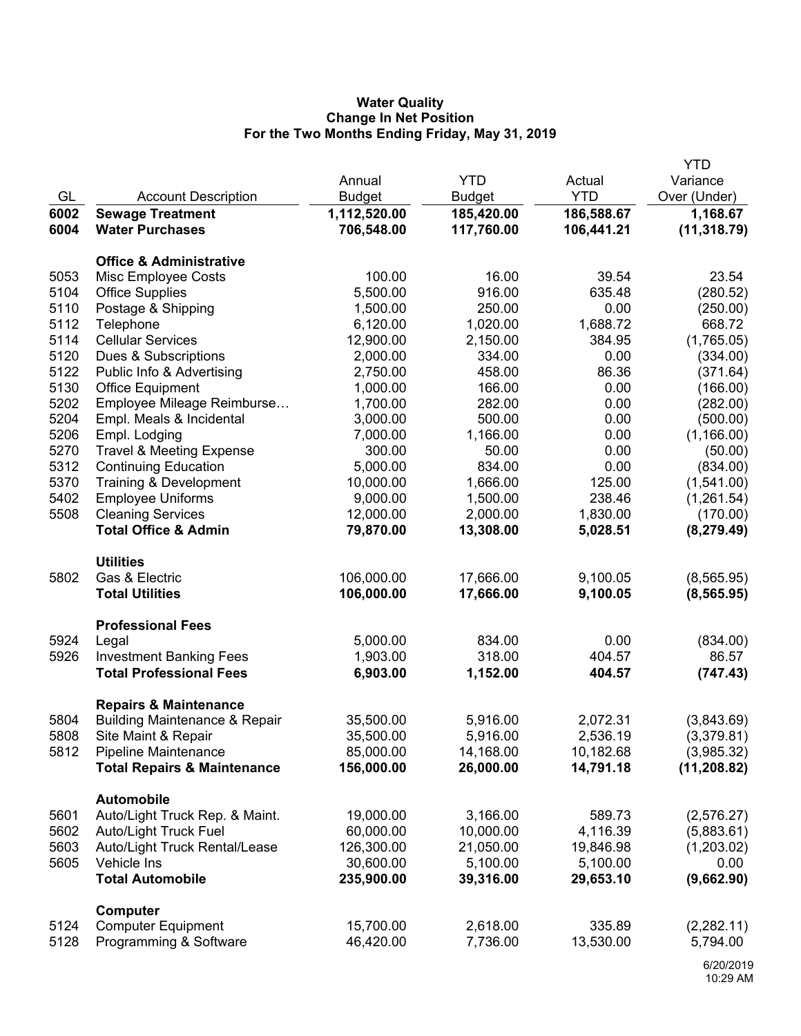## **Water Quality Change In Net Position For the Two Months Ending Friday, May 31, 2019**

|      |                                          |               |               |            | <b>YTD</b>   |
|------|------------------------------------------|---------------|---------------|------------|--------------|
|      |                                          | Annual        | <b>YTD</b>    | Actual     | Variance     |
| GL   | <b>Account Description</b>               | <b>Budget</b> | <b>Budget</b> | <b>YTD</b> | Over (Under) |
| 6002 | <b>Sewage Treatment</b>                  | 1,112,520.00  | 185,420.00    | 186,588.67 | 1,168.67     |
| 6004 | <b>Water Purchases</b>                   | 706,548.00    | 117,760.00    | 106,441.21 | (11, 318.79) |
|      | <b>Office &amp; Administrative</b>       |               |               |            |              |
|      |                                          | 100.00        | 16.00         | 39.54      | 23.54        |
| 5053 | Misc Employee Costs                      |               |               |            |              |
| 5104 | <b>Office Supplies</b>                   | 5,500.00      | 916.00        | 635.48     | (280.52)     |
| 5110 | Postage & Shipping                       | 1,500.00      | 250.00        | 0.00       | (250.00)     |
| 5112 | Telephone                                | 6,120.00      | 1,020.00      | 1,688.72   | 668.72       |
| 5114 | <b>Cellular Services</b>                 | 12,900.00     | 2,150.00      | 384.95     | (1,765.05)   |
| 5120 | Dues & Subscriptions                     | 2,000.00      | 334.00        | 0.00       | (334.00)     |
| 5122 | Public Info & Advertising                | 2,750.00      | 458.00        | 86.36      | (371.64)     |
| 5130 | <b>Office Equipment</b>                  | 1,000.00      | 166.00        | 0.00       | (166.00)     |
| 5202 | Employee Mileage Reimburse               | 1,700.00      | 282.00        | 0.00       | (282.00)     |
| 5204 | Empl. Meals & Incidental                 | 3,000.00      | 500.00        | 0.00       | (500.00)     |
| 5206 | Empl. Lodging                            | 7,000.00      | 1,166.00      | 0.00       | (1, 166.00)  |
| 5270 | <b>Travel &amp; Meeting Expense</b>      | 300.00        | 50.00         | 0.00       | (50.00)      |
| 5312 | <b>Continuing Education</b>              | 5,000.00      | 834.00        | 0.00       | (834.00)     |
| 5370 | Training & Development                   | 10,000.00     | 1,666.00      | 125.00     | (1,541.00)   |
| 5402 | <b>Employee Uniforms</b>                 | 9,000.00      | 1,500.00      | 238.46     | (1,261.54)   |
| 5508 | <b>Cleaning Services</b>                 | 12,000.00     | 2,000.00      | 1,830.00   | (170.00)     |
|      | <b>Total Office &amp; Admin</b>          | 79,870.00     | 13,308.00     | 5,028.51   | (8, 279.49)  |
|      | <b>Utilities</b>                         |               |               |            |              |
| 5802 | Gas & Electric                           | 106,000.00    | 17,666.00     | 9,100.05   | (8, 565.95)  |
|      | <b>Total Utilities</b>                   | 106,000.00    | 17,666.00     | 9,100.05   | (8, 565.95)  |
|      | <b>Professional Fees</b>                 |               |               |            |              |
| 5924 | Legal                                    | 5,000.00      | 834.00        | 0.00       | (834.00)     |
| 5926 | <b>Investment Banking Fees</b>           | 1,903.00      | 318.00        | 404.57     | 86.57        |
|      | <b>Total Professional Fees</b>           | 6,903.00      | 1,152.00      | 404.57     | (747.43)     |
|      | <b>Repairs &amp; Maintenance</b>         |               |               |            |              |
| 5804 | <b>Building Maintenance &amp; Repair</b> | 35,500.00     | 5,916.00      | 2,072.31   | (3,843.69)   |
| 5808 | Site Maint & Repair                      | 35,500.00     | 5,916.00      | 2,536.19   | (3,379.81)   |
| 5812 | Pipeline Maintenance                     | 85,000.00     | 14,168.00     | 10,182.68  | (3,985.32)   |
|      | <b>Total Repairs &amp; Maintenance</b>   | 156,000.00    | 26,000.00     | 14,791.18  | (11, 208.82) |
|      |                                          |               |               |            |              |
|      | <b>Automobile</b>                        |               |               |            |              |
| 5601 | Auto/Light Truck Rep. & Maint.           | 19,000.00     | 3,166.00      | 589.73     | (2,576.27)   |
| 5602 | Auto/Light Truck Fuel                    | 60,000.00     | 10,000.00     | 4,116.39   | (5,883.61)   |
| 5603 | Auto/Light Truck Rental/Lease            | 126,300.00    | 21,050.00     | 19,846.98  | (1,203.02)   |
| 5605 | Vehicle Ins                              | 30,600.00     | 5,100.00      | 5,100.00   | 0.00         |
|      | <b>Total Automobile</b>                  | 235,900.00    | 39,316.00     | 29,653.10  | (9,662.90)   |
|      | Computer                                 |               |               |            |              |
| 5124 | <b>Computer Equipment</b>                | 15,700.00     | 2,618.00      | 335.89     | (2,282.11)   |
| 5128 | Programming & Software                   | 46,420.00     | 7,736.00      | 13,530.00  | 5,794.00     |
|      |                                          |               |               |            |              |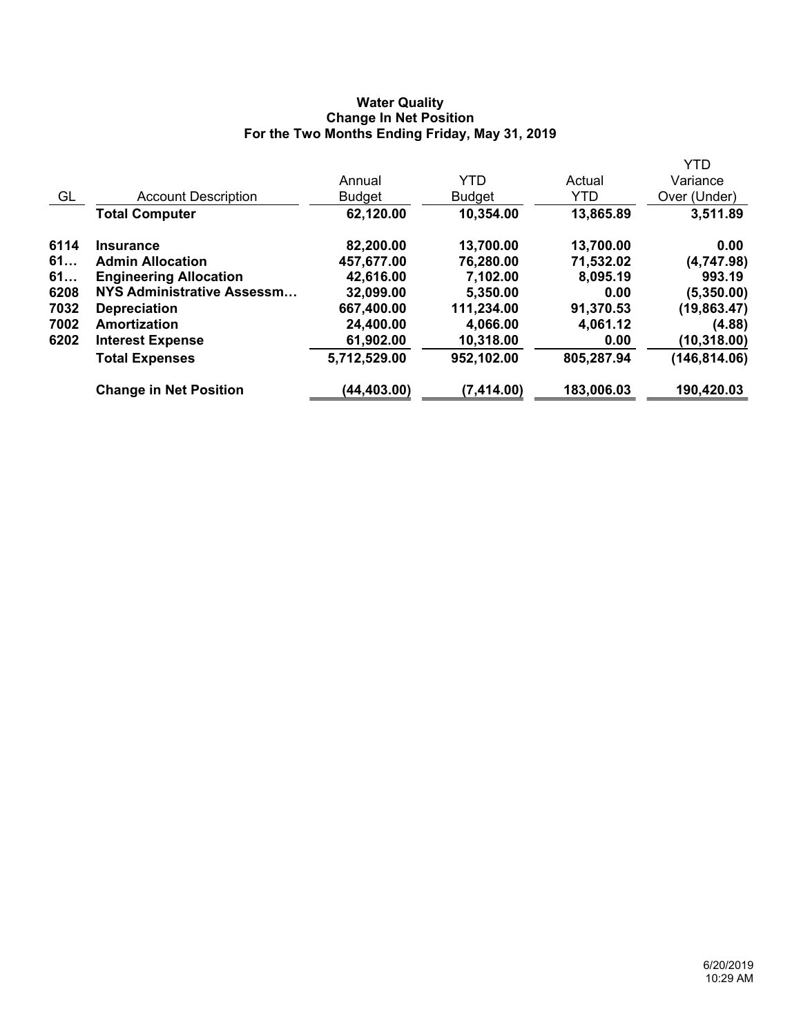## **Water Quality Change In Net Position For the Two Months Ending Friday, May 31, 2019**

|      |                               |               |               |            | <b>YTD</b>    |
|------|-------------------------------|---------------|---------------|------------|---------------|
|      |                               | Annual        | <b>YTD</b>    | Actual     | Variance      |
| GL   | <b>Account Description</b>    | <b>Budget</b> | <b>Budget</b> | <b>YTD</b> | Over (Under)  |
|      | <b>Total Computer</b>         | 62,120.00     | 10,354.00     | 13,865.89  | 3,511.89      |
| 6114 | <b>Insurance</b>              | 82,200.00     | 13,700.00     | 13,700.00  | 0.00          |
| 61   | <b>Admin Allocation</b>       | 457,677.00    | 76,280.00     | 71,532.02  | (4,747.98)    |
| 61   | <b>Engineering Allocation</b> | 42,616.00     | 7,102.00      | 8,095.19   | 993.19        |
| 6208 | NYS Administrative Assessm    | 32,099.00     | 5,350.00      | 0.00       | (5,350.00)    |
| 7032 | <b>Depreciation</b>           | 667,400.00    | 111,234.00    | 91,370.53  | (19, 863.47)  |
| 7002 | Amortization                  | 24,400.00     | 4,066.00      | 4,061.12   | (4.88)        |
| 6202 | <b>Interest Expense</b>       | 61,902.00     | 10,318.00     | 0.00       | (10, 318.00)  |
|      | <b>Total Expenses</b>         | 5,712,529.00  | 952,102.00    | 805,287.94 | (146, 814.06) |
|      | <b>Change in Net Position</b> | (44,403.00)   | (7,414.00)    | 183,006.03 | 190,420.03    |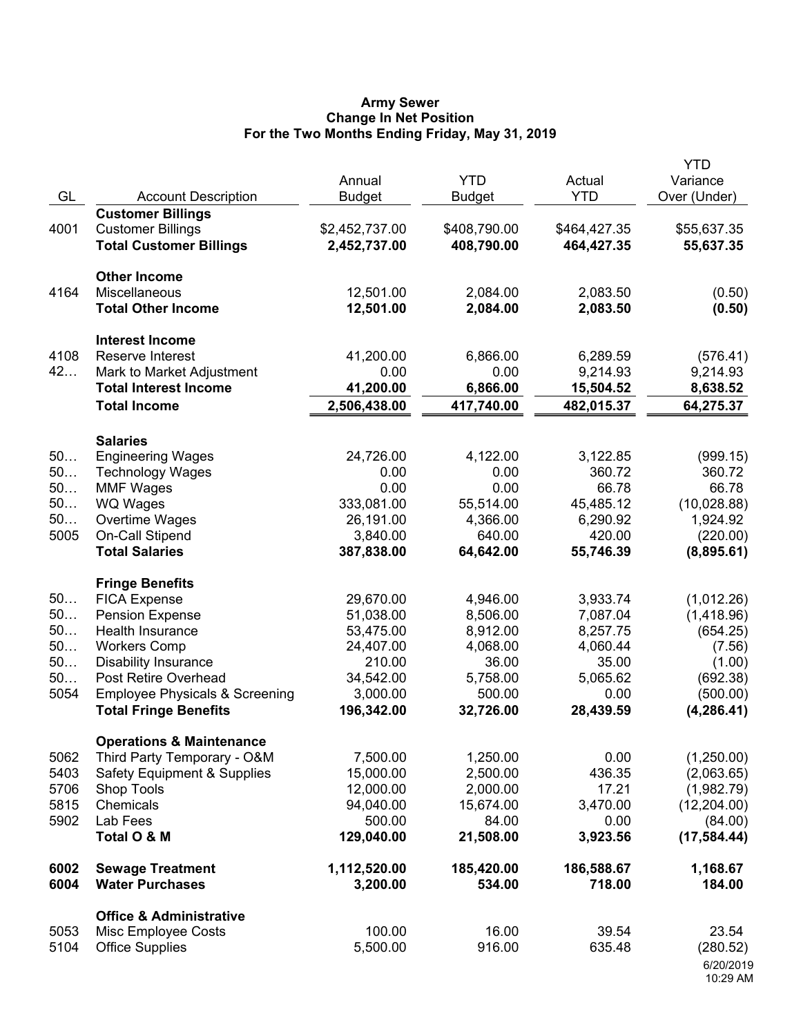#### **Army Sewer Change In Net Position For the Two Months Ending Friday, May 31, 2019**

| GL                                       | <b>Account Description</b>                                                                                                                                                                                                                             | Annual<br><b>Budget</b>                                                                           | <b>YTD</b><br><b>Budget</b>                                                              | Actual<br><b>YTD</b>                                                                   | <b>YTD</b><br>Variance<br>Over (Under)                                                          |
|------------------------------------------|--------------------------------------------------------------------------------------------------------------------------------------------------------------------------------------------------------------------------------------------------------|---------------------------------------------------------------------------------------------------|------------------------------------------------------------------------------------------|----------------------------------------------------------------------------------------|-------------------------------------------------------------------------------------------------|
| 4001                                     | <b>Customer Billings</b><br><b>Customer Billings</b><br><b>Total Customer Billings</b>                                                                                                                                                                 | \$2,452,737.00<br>2,452,737.00                                                                    | \$408,790.00<br>408,790.00                                                               | \$464,427.35<br>464,427.35                                                             | \$55,637.35<br>55,637.35                                                                        |
| 4164                                     | <b>Other Income</b><br>Miscellaneous<br><b>Total Other Income</b>                                                                                                                                                                                      | 12,501.00<br>12,501.00                                                                            | 2,084.00<br>2,084.00                                                                     | 2,083.50<br>2,083.50                                                                   | (0.50)<br>(0.50)                                                                                |
| 4108<br>42                               | <b>Interest Income</b><br>Reserve Interest<br>Mark to Market Adjustment                                                                                                                                                                                | 41,200.00<br>0.00                                                                                 | 6,866.00<br>0.00                                                                         | 6,289.59<br>9,214.93                                                                   | (576.41)<br>9,214.93                                                                            |
|                                          | <b>Total Interest Income</b><br><b>Total Income</b>                                                                                                                                                                                                    | 41,200.00<br>2,506,438.00                                                                         | 6,866.00<br>417,740.00                                                                   | 15,504.52<br>482,015.37                                                                | 8,638.52<br>64,275.37                                                                           |
| 50<br>50<br>50<br>50<br>50<br>5005       | <b>Salaries</b><br><b>Engineering Wages</b><br><b>Technology Wages</b><br><b>MMF Wages</b><br><b>WQ Wages</b><br>Overtime Wages<br><b>On-Call Stipend</b><br><b>Total Salaries</b>                                                                     | 24,726.00<br>0.00<br>0.00<br>333,081.00<br>26,191.00<br>3,840.00<br>387,838.00                    | 4,122.00<br>0.00<br>0.00<br>55,514.00<br>4,366.00<br>640.00<br>64,642.00                 | 3,122.85<br>360.72<br>66.78<br>45,485.12<br>6,290.92<br>420.00<br>55,746.39            | (999.15)<br>360.72<br>66.78<br>(10,028.88)<br>1,924.92<br>(220.00)<br>(8,895.61)                |
| 50<br>50<br>50<br>50<br>50<br>50<br>5054 | <b>Fringe Benefits</b><br><b>FICA Expense</b><br><b>Pension Expense</b><br>Health Insurance<br><b>Workers Comp</b><br><b>Disability Insurance</b><br>Post Retire Overhead<br><b>Employee Physicals &amp; Screening</b><br><b>Total Fringe Benefits</b> | 29,670.00<br>51,038.00<br>53,475.00<br>24,407.00<br>210.00<br>34,542.00<br>3,000.00<br>196,342.00 | 4,946.00<br>8,506.00<br>8,912.00<br>4,068.00<br>36.00<br>5,758.00<br>500.00<br>32,726.00 | 3,933.74<br>7,087.04<br>8,257.75<br>4,060.44<br>35.00<br>5,065.62<br>0.00<br>28,439.59 | (1,012.26)<br>(1,418.96)<br>(654.25)<br>(7.56)<br>(1.00)<br>(692.38)<br>(500.00)<br>(4, 286.41) |
| 5062<br>5403<br>5706<br>5815<br>5902     | <b>Operations &amp; Maintenance</b><br>Third Party Temporary - O&M<br><b>Safety Equipment &amp; Supplies</b><br>Shop Tools<br>Chemicals<br>Lab Fees<br>Total O & M                                                                                     | 7,500.00<br>15,000.00<br>12,000.00<br>94,040.00<br>500.00<br>129,040.00                           | 1,250.00<br>2,500.00<br>2,000.00<br>15,674.00<br>84.00<br>21,508.00                      | 0.00<br>436.35<br>17.21<br>3,470.00<br>0.00<br>3,923.56                                | (1,250.00)<br>(2,063.65)<br>(1,982.79)<br>(12, 204.00)<br>(84.00)<br>(17, 584.44)               |
| 6002<br>6004                             | <b>Sewage Treatment</b><br><b>Water Purchases</b>                                                                                                                                                                                                      | 1,112,520.00<br>3,200.00                                                                          | 185,420.00<br>534.00                                                                     | 186,588.67<br>718.00                                                                   | 1,168.67<br>184.00                                                                              |
| 5053<br>5104                             | <b>Office &amp; Administrative</b><br>Misc Employee Costs<br><b>Office Supplies</b>                                                                                                                                                                    | 100.00<br>5,500.00                                                                                | 16.00<br>916.00                                                                          | 39.54<br>635.48                                                                        | 23.54<br>(280.52)<br>6/20/2019<br>10:29 AM                                                      |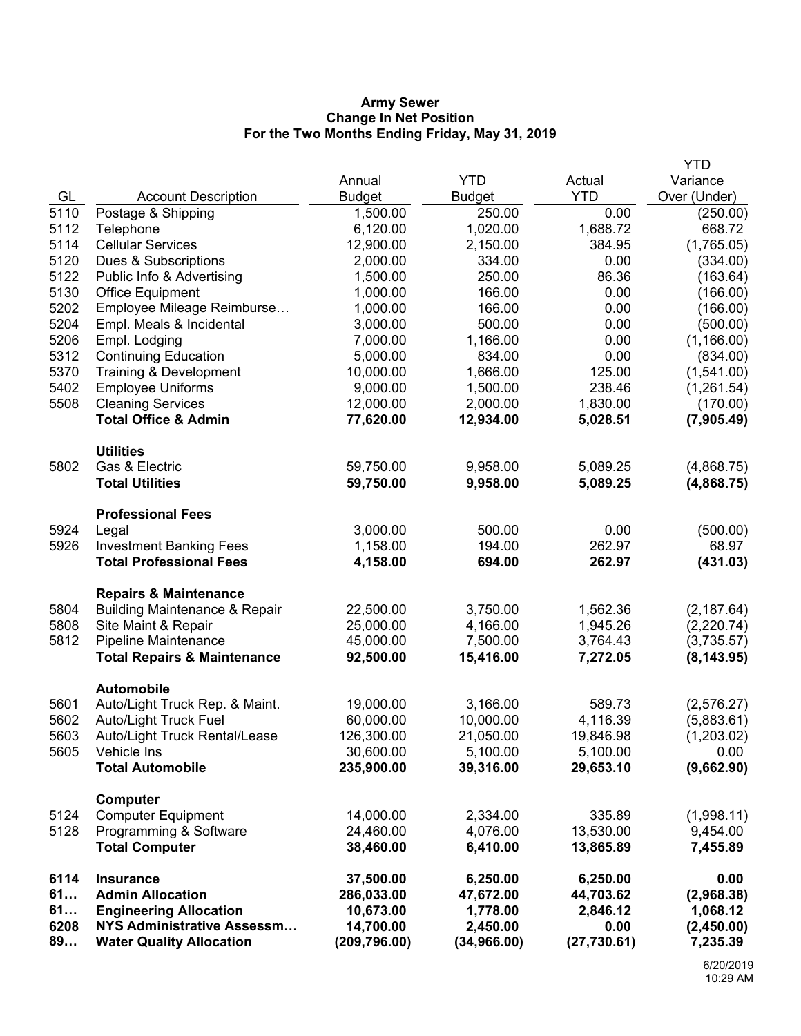### **Army Sewer Change In Net Position For the Two Months Ending Friday, May 31, 2019**

|              |                                                      |                       |                      |                    | <b>YTD</b>             |
|--------------|------------------------------------------------------|-----------------------|----------------------|--------------------|------------------------|
|              |                                                      | Annual                | <b>YTD</b>           | Actual             | Variance               |
| GL           | <b>Account Description</b>                           | <b>Budget</b>         | <b>Budget</b>        | <b>YTD</b>         | Over (Under)           |
| 5110         | Postage & Shipping                                   | 1,500.00              | 250.00               | 0.00               | (250.00)               |
| 5112         | Telephone                                            | 6,120.00              | 1,020.00             | 1,688.72           | 668.72                 |
| 5114         | <b>Cellular Services</b>                             | 12,900.00             | 2,150.00             | 384.95             | (1,765.05)             |
| 5120         | Dues & Subscriptions                                 | 2,000.00              | 334.00               | 0.00               | (334.00)               |
| 5122         | Public Info & Advertising                            | 1,500.00              | 250.00               | 86.36              | (163.64)               |
| 5130         | <b>Office Equipment</b>                              | 1,000.00              | 166.00               | 0.00               | (166.00)               |
| 5202         | Employee Mileage Reimburse                           | 1,000.00              | 166.00               | 0.00               | (166.00)               |
| 5204         | Empl. Meals & Incidental                             | 3,000.00              | 500.00               | 0.00               | (500.00)               |
| 5206         | Empl. Lodging                                        | 7,000.00              | 1,166.00             | 0.00               | (1, 166.00)            |
| 5312         | <b>Continuing Education</b>                          | 5,000.00              | 834.00               | 0.00               | (834.00)               |
| 5370         | Training & Development                               | 10,000.00             | 1,666.00             | 125.00             | (1,541.00)             |
| 5402<br>5508 | <b>Employee Uniforms</b><br><b>Cleaning Services</b> | 9,000.00<br>12,000.00 | 1,500.00<br>2,000.00 | 238.46<br>1,830.00 | (1,261.54)<br>(170.00) |
|              | <b>Total Office &amp; Admin</b>                      | 77,620.00             | 12,934.00            | 5,028.51           | (7,905.49)             |
|              |                                                      |                       |                      |                    |                        |
|              | <b>Utilities</b>                                     |                       |                      |                    |                        |
| 5802         | Gas & Electric                                       | 59,750.00             | 9,958.00             | 5,089.25           | (4,868.75)             |
|              | <b>Total Utilities</b>                               | 59,750.00             | 9,958.00             | 5,089.25           | (4,868.75)             |
|              | <b>Professional Fees</b>                             |                       |                      |                    |                        |
| 5924         | Legal                                                | 3,000.00              | 500.00               | 0.00               | (500.00)               |
| 5926         | <b>Investment Banking Fees</b>                       | 1,158.00              | 194.00               | 262.97             | 68.97                  |
|              | <b>Total Professional Fees</b>                       | 4,158.00              | 694.00               | 262.97             | (431.03)               |
|              | <b>Repairs &amp; Maintenance</b>                     |                       |                      |                    |                        |
| 5804         | <b>Building Maintenance &amp; Repair</b>             | 22,500.00             | 3,750.00             | 1,562.36           | (2, 187.64)            |
| 5808         | Site Maint & Repair                                  | 25,000.00             | 4,166.00             | 1,945.26           | (2,220.74)             |
| 5812         | Pipeline Maintenance                                 | 45,000.00             | 7,500.00             | 3,764.43           | (3,735.57)             |
|              | <b>Total Repairs &amp; Maintenance</b>               | 92,500.00             | 15,416.00            | 7,272.05           | (8, 143.95)            |
|              | <b>Automobile</b>                                    |                       |                      |                    |                        |
| 5601         | Auto/Light Truck Rep. & Maint.                       | 19,000.00             | 3,166.00             | 589.73             | (2,576.27)             |
| 5602         | Auto/Light Truck Fuel                                | 60,000.00             | 10,000.00            | 4,116.39           | (5,883.61)             |
| 5603         | Auto/Light Truck Rental/Lease                        | 126,300.00            | 21,050.00            | 19,846.98          | (1,203.02)             |
| 5605         | Vehicle Ins                                          | 30,600.00             | 5,100.00             | 5,100.00           | 0.00                   |
|              | <b>Total Automobile</b>                              | 235,900.00            | 39,316.00            | 29,653.10          | (9,662.90)             |
|              | Computer                                             |                       |                      |                    |                        |
| 5124         | <b>Computer Equipment</b>                            | 14,000.00             | 2,334.00             | 335.89             | (1,998.11)             |
| 5128         | Programming & Software                               | 24,460.00             | 4,076.00             | 13,530.00          | 9,454.00               |
|              | <b>Total Computer</b>                                | 38,460.00             | 6,410.00             | 13,865.89          | 7,455.89               |
| 6114         | <b>Insurance</b>                                     | 37,500.00             | 6,250.00             | 6,250.00           | 0.00                   |
| 61           | <b>Admin Allocation</b>                              | 286,033.00            | 47,672.00            | 44,703.62          | (2,968.38)             |
| 61           | <b>Engineering Allocation</b>                        | 10,673.00             | 1,778.00             | 2,846.12           | 1,068.12               |
| 6208         | NYS Administrative Assessm                           | 14,700.00             | 2,450.00             | 0.00               | (2,450.00)             |
| 89           | <b>Water Quality Allocation</b>                      | (209, 796.00)         | (34, 966.00)         | (27, 730.61)       | 7,235.39               |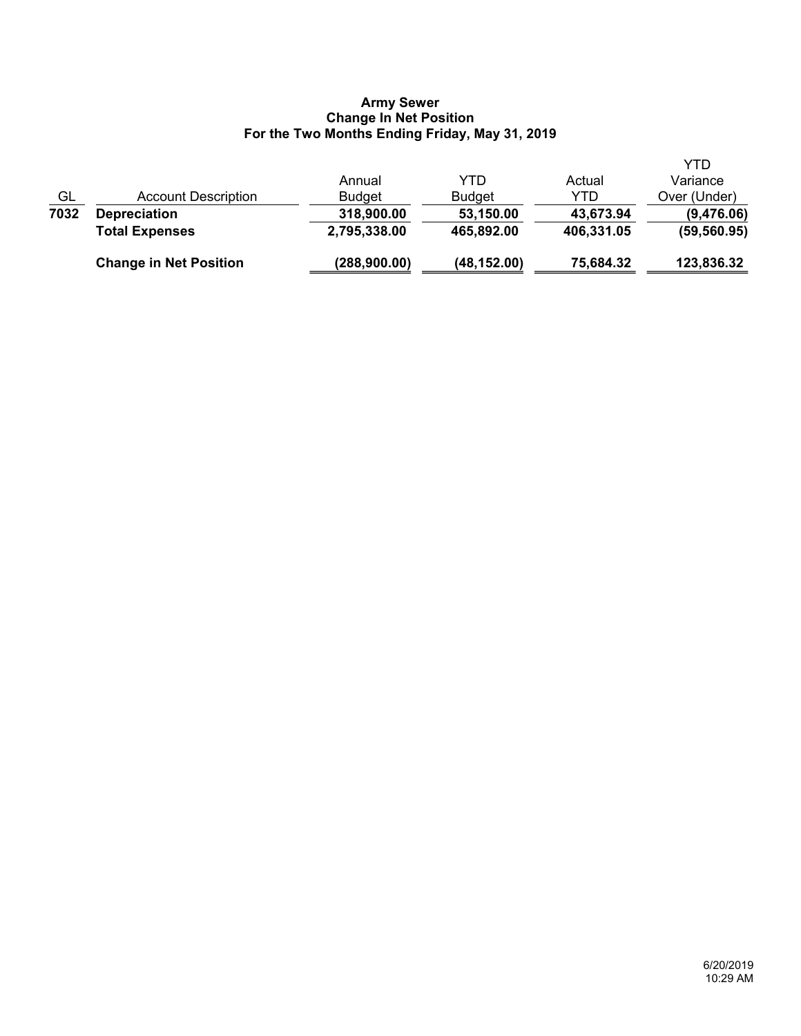### **Army Sewer Change In Net Position For the Two Months Ending Friday, May 31, 2019**

|      | <b>Change in Net Position</b> | (288,900.00)  | (48, 152.00)  | 75,684.32  | 123,836.32   |
|------|-------------------------------|---------------|---------------|------------|--------------|
|      | <b>Total Expenses</b>         | 2,795,338.00  | 465,892.00    | 406,331.05 | (59, 560.95) |
| 7032 | <b>Depreciation</b>           | 318,900.00    | 53,150.00     | 43,673.94  | (9,476.06)   |
| GL   | Account Description           | <b>Budget</b> | <b>Budget</b> | YTD        | Over (Under) |
|      |                               | Annual        | YTD           | Actual     | Variance     |
|      |                               |               |               |            | YTD          |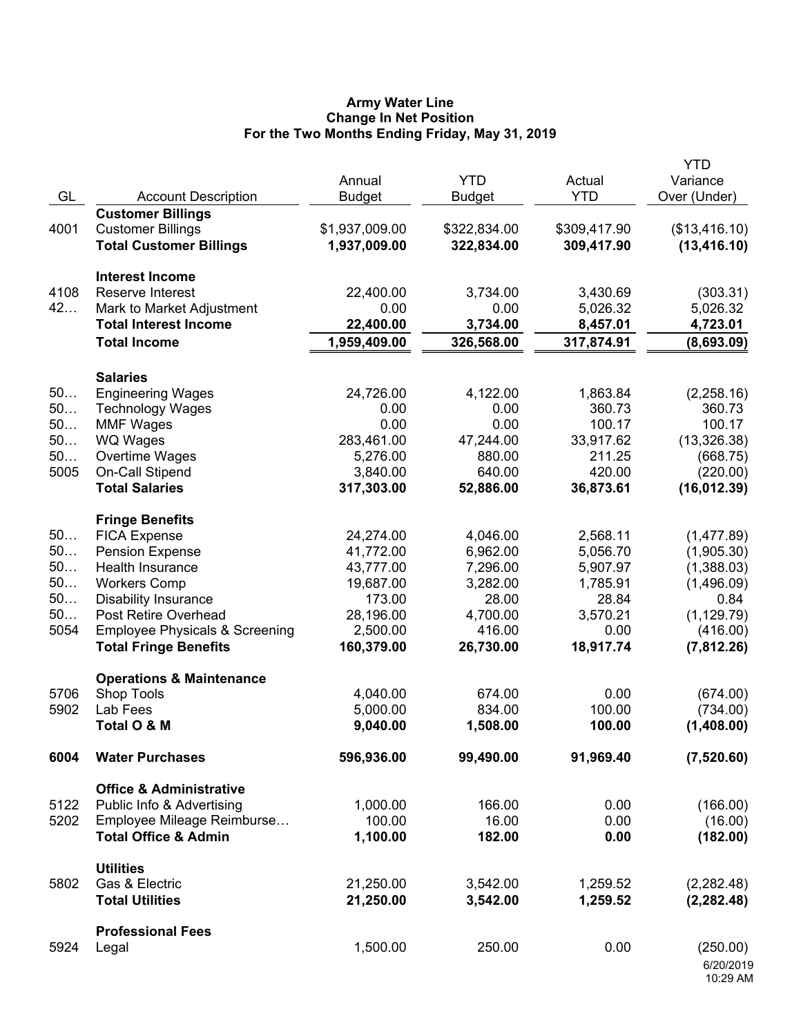### **Army Water Line Change In Net Position For the Two Months Ending Friday, May 31, 2019**

| GL       | <b>Account Description</b>                           | Annual<br><b>Budget</b> | <b>YTD</b><br><b>Budget</b> | Actual<br><b>YTD</b> | <b>YTD</b><br>Variance<br>Over (Under) |
|----------|------------------------------------------------------|-------------------------|-----------------------------|----------------------|----------------------------------------|
| 4001     | <b>Customer Billings</b><br><b>Customer Billings</b> | \$1,937,009.00          | \$322,834.00                | \$309,417.90         | (\$13,416.10)                          |
|          | <b>Total Customer Billings</b>                       | 1,937,009.00            | 322,834.00                  | 309,417.90           | (13, 416.10)                           |
|          | <b>Interest Income</b>                               |                         |                             |                      |                                        |
| 4108     | Reserve Interest                                     | 22,400.00               | 3,734.00                    | 3,430.69             | (303.31)                               |
| 42       | Mark to Market Adjustment                            | 0.00                    | 0.00                        | 5,026.32             | 5,026.32                               |
|          | <b>Total Interest Income</b>                         | 22,400.00               | 3,734.00                    | 8,457.01             | 4,723.01                               |
|          | <b>Total Income</b>                                  | 1,959,409.00            | 326,568.00                  | 317,874.91           | (8,693.09)                             |
|          | <b>Salaries</b>                                      |                         |                             |                      |                                        |
| 50       | <b>Engineering Wages</b>                             | 24,726.00               | 4,122.00                    | 1,863.84             | (2,258.16)                             |
| 50       | <b>Technology Wages</b>                              | 0.00                    | 0.00                        | 360.73               | 360.73                                 |
| 50       | <b>MMF Wages</b>                                     | 0.00                    | 0.00                        | 100.17               | 100.17                                 |
| 50       | <b>WQ Wages</b>                                      | 283,461.00              | 47,244.00                   | 33,917.62            | (13, 326.38)                           |
| 50       | Overtime Wages                                       | 5,276.00                | 880.00                      | 211.25               | (668.75)                               |
| 5005     | On-Call Stipend<br><b>Total Salaries</b>             | 3,840.00                | 640.00                      | 420.00               | (220.00)                               |
|          |                                                      | 317,303.00              | 52,886.00                   | 36,873.61            | (16, 012.39)                           |
|          | <b>Fringe Benefits</b>                               |                         |                             |                      |                                        |
| 50       | <b>FICA Expense</b>                                  | 24,274.00               | 4,046.00                    | 2,568.11             | (1,477.89)                             |
| 50<br>50 | <b>Pension Expense</b><br>Health Insurance           | 41,772.00<br>43,777.00  | 6,962.00<br>7,296.00        | 5,056.70<br>5,907.97 | (1,905.30)                             |
| 50       | <b>Workers Comp</b>                                  | 19,687.00               | 3,282.00                    | 1,785.91             | (1,388.03)<br>(1,496.09)               |
| 50       | <b>Disability Insurance</b>                          | 173.00                  | 28.00                       | 28.84                | 0.84                                   |
| 50       | Post Retire Overhead                                 | 28,196.00               | 4,700.00                    | 3,570.21             | (1, 129.79)                            |
| 5054     | <b>Employee Physicals &amp; Screening</b>            | 2,500.00                | 416.00                      | 0.00                 | (416.00)                               |
|          | <b>Total Fringe Benefits</b>                         | 160,379.00              | 26,730.00                   | 18,917.74            | (7,812.26)                             |
|          | <b>Operations &amp; Maintenance</b>                  |                         |                             |                      |                                        |
| 5706     | Shop Tools                                           | 4,040.00                | 674.00                      | 0.00                 | (674.00)                               |
| 5902     | Lab Fees                                             | 5,000.00                | 834.00                      | 100.00               | (734.00)                               |
|          | Total O & M                                          | 9,040.00                | 1,508.00                    | 100.00               | (1,408.00)                             |
| 6004     | <b>Water Purchases</b>                               | 596,936.00              | 99,490.00                   | 91,969.40            | (7,520.60)                             |
|          | <b>Office &amp; Administrative</b>                   |                         |                             |                      |                                        |
| 5122     | Public Info & Advertising                            | 1,000.00                | 166.00                      | 0.00                 | (166.00)                               |
| 5202     | Employee Mileage Reimburse                           | 100.00                  | 16.00                       | 0.00                 | (16.00)                                |
|          | <b>Total Office &amp; Admin</b>                      | 1,100.00                | 182.00                      | 0.00                 | (182.00)                               |
|          | <b>Utilities</b>                                     |                         |                             |                      |                                        |
| 5802     | Gas & Electric                                       | 21,250.00               | 3,542.00                    | 1,259.52             | (2, 282.48)                            |
|          | <b>Total Utilities</b>                               | 21,250.00               | 3,542.00                    | 1,259.52             | (2, 282.48)                            |
|          | <b>Professional Fees</b>                             |                         |                             |                      |                                        |
| 5924     | Legal                                                | 1,500.00                | 250.00                      | 0.00                 | (250.00)                               |
|          |                                                      |                         |                             |                      | 6/20/2019<br>10:29 AM                  |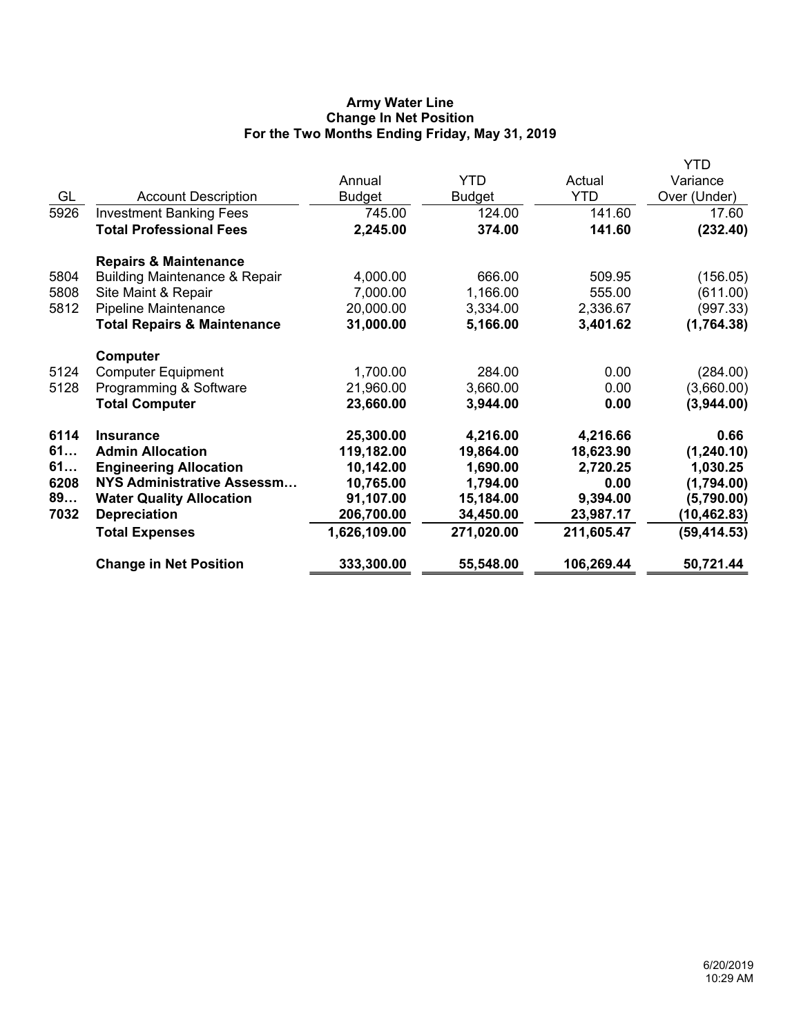# **Army Water Line Change In Net Position For the Two Months Ending Friday, May 31, 2019**

|      |                                          |              |            |            | YTD          |
|------|------------------------------------------|--------------|------------|------------|--------------|
|      |                                          | Annual       | <b>YTD</b> | Actual     | Variance     |
| GL   | <b>Account Description</b>               | Budget       | Budget     | <b>YTD</b> | Over (Under) |
| 5926 | <b>Investment Banking Fees</b>           | 745.00       | 124.00     | 141.60     | 17.60        |
|      | <b>Total Professional Fees</b>           | 2,245.00     | 374.00     | 141.60     | (232.40)     |
|      | <b>Repairs &amp; Maintenance</b>         |              |            |            |              |
| 5804 | <b>Building Maintenance &amp; Repair</b> | 4,000.00     | 666.00     | 509.95     | (156.05)     |
| 5808 | Site Maint & Repair                      | 7,000.00     | 1,166.00   | 555.00     | (611.00)     |
| 5812 | Pipeline Maintenance                     | 20,000.00    | 3,334.00   | 2,336.67   | (997.33)     |
|      | <b>Total Repairs &amp; Maintenance</b>   | 31,000.00    | 5,166.00   | 3,401.62   | (1,764.38)   |
|      | Computer                                 |              |            |            |              |
| 5124 | <b>Computer Equipment</b>                | 1,700.00     | 284.00     | 0.00       | (284.00)     |
| 5128 | Programming & Software                   | 21,960.00    | 3,660.00   | 0.00       | (3,660.00)   |
|      | <b>Total Computer</b>                    | 23,660.00    | 3,944.00   | 0.00       | (3,944.00)   |
| 6114 | <b>Insurance</b>                         | 25,300.00    | 4,216.00   | 4,216.66   | 0.66         |
| 61   | <b>Admin Allocation</b>                  | 119,182.00   | 19,864.00  | 18,623.90  | (1, 240.10)  |
| 61   | <b>Engineering Allocation</b>            | 10,142.00    | 1,690.00   | 2,720.25   | 1,030.25     |
| 6208 | <b>NYS Administrative Assessm</b>        | 10,765.00    | 1,794.00   | 0.00       | (1,794.00)   |
| 89   | <b>Water Quality Allocation</b>          | 91,107.00    | 15,184.00  | 9,394.00   | (5,790.00)   |
| 7032 | <b>Depreciation</b>                      | 206,700.00   | 34,450.00  | 23,987.17  | (10, 462.83) |
|      | <b>Total Expenses</b>                    | 1,626,109.00 | 271,020.00 | 211,605.47 | (59, 414.53) |
|      | <b>Change in Net Position</b>            | 333,300.00   | 55,548.00  | 106,269.44 | 50,721.44    |
|      |                                          |              |            |            |              |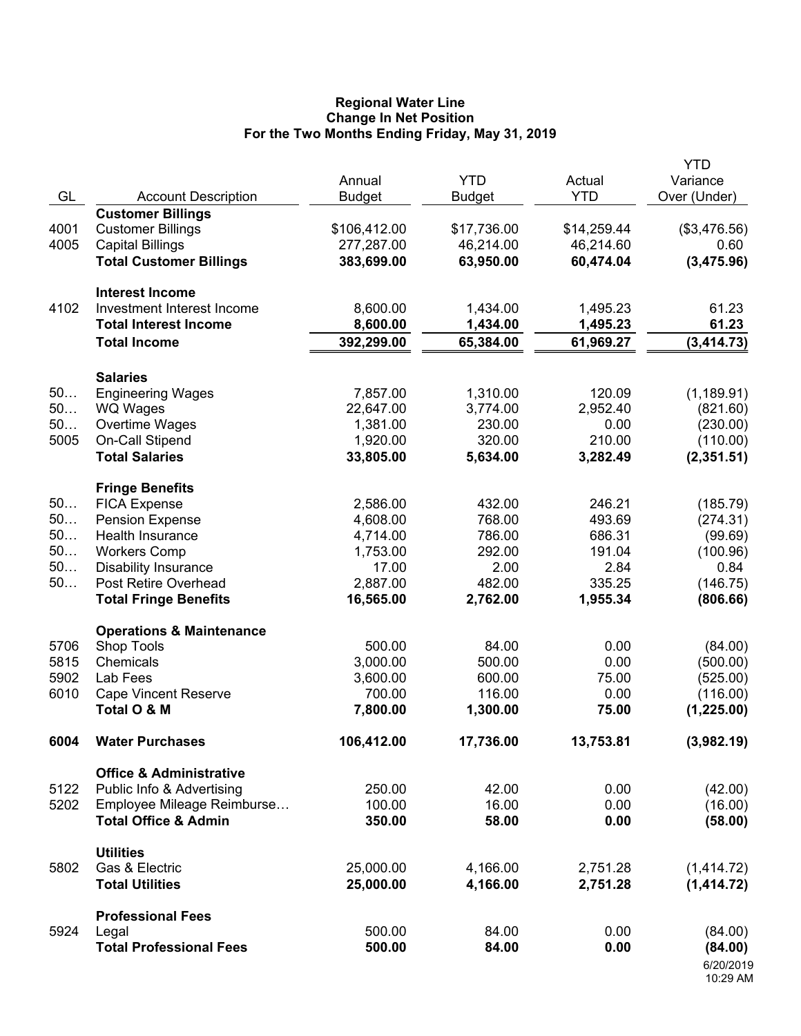### **Regional Water Line Change In Net Position For the Two Months Ending Friday, May 31, 2019**

|          |                                                            | Annual                 | <b>YTD</b>            | Actual                | <b>YTD</b><br>Variance |
|----------|------------------------------------------------------------|------------------------|-----------------------|-----------------------|------------------------|
| GL       | <b>Account Description</b>                                 | <b>Budget</b>          | <b>Budget</b>         | <b>YTD</b>            | Over (Under)           |
|          | <b>Customer Billings</b>                                   |                        |                       |                       |                        |
| 4001     | <b>Customer Billings</b>                                   | \$106,412.00           | \$17,736.00           | \$14,259.44           | (\$3,476.56)           |
| 4005     | <b>Capital Billings</b>                                    | 277,287.00             | 46,214.00             | 46,214.60             | 0.60                   |
|          | <b>Total Customer Billings</b>                             | 383,699.00             | 63,950.00             | 60,474.04             | (3,475.96)             |
|          | <b>Interest Income</b>                                     |                        |                       |                       |                        |
| 4102     | Investment Interest Income<br><b>Total Interest Income</b> | 8,600.00               | 1,434.00              | 1,495.23              | 61.23                  |
|          | <b>Total Income</b>                                        | 8,600.00<br>392,299.00 | 1,434.00<br>65,384.00 | 1,495.23<br>61,969.27 | 61.23<br>(3, 414.73)   |
|          |                                                            |                        |                       |                       |                        |
|          | <b>Salaries</b>                                            |                        |                       |                       |                        |
| 50       | <b>Engineering Wages</b>                                   | 7,857.00               | 1,310.00              | 120.09                | (1, 189.91)            |
| 50       | <b>WQ Wages</b>                                            | 22,647.00              | 3,774.00              | 2,952.40              | (821.60)               |
| 50       | Overtime Wages                                             | 1,381.00               | 230.00                | 0.00                  | (230.00)               |
| 5005     | On-Call Stipend<br><b>Total Salaries</b>                   | 1,920.00               | 320.00<br>5,634.00    | 210.00                | (110.00)               |
|          |                                                            | 33,805.00              |                       | 3,282.49              | (2,351.51)             |
|          | <b>Fringe Benefits</b>                                     |                        |                       |                       |                        |
| 50       | <b>FICA Expense</b>                                        | 2,586.00               | 432.00                | 246.21                | (185.79)               |
| 50       | <b>Pension Expense</b>                                     | 4,608.00               | 768.00                | 493.69                | (274.31)               |
| 50<br>50 | Health Insurance                                           | 4,714.00               | 786.00                | 686.31                | (99.69)                |
| 50       | <b>Workers Comp</b><br><b>Disability Insurance</b>         | 1,753.00<br>17.00      | 292.00<br>2.00        | 191.04<br>2.84        | (100.96)<br>0.84       |
| 50       | Post Retire Overhead                                       | 2,887.00               | 482.00                | 335.25                | (146.75)               |
|          | <b>Total Fringe Benefits</b>                               | 16,565.00              | 2,762.00              | 1,955.34              | (806.66)               |
|          | <b>Operations &amp; Maintenance</b>                        |                        |                       |                       |                        |
| 5706     | Shop Tools                                                 | 500.00                 | 84.00                 | 0.00                  | (84.00)                |
| 5815     | Chemicals                                                  | 3,000.00               | 500.00                | 0.00                  | (500.00)               |
| 5902     | Lab Fees                                                   | 3,600.00               | 600.00                | 75.00                 | (525.00)               |
| 6010     | <b>Cape Vincent Reserve</b>                                | 700.00                 | 116.00                | 0.00                  | (116.00)               |
|          | Total O & M                                                | 7,800.00               | 1,300.00              | 75.00                 | (1,225.00)             |
| 6004     | <b>Water Purchases</b>                                     | 106,412.00             | 17,736.00             | 13,753.81             | (3,982.19)             |
|          | <b>Office &amp; Administrative</b>                         |                        |                       |                       |                        |
| 5122     | Public Info & Advertising                                  | 250.00                 | 42.00                 | 0.00                  | (42.00)                |
| 5202     | Employee Mileage Reimburse                                 | 100.00                 | 16.00                 | 0.00                  | (16.00)                |
|          | <b>Total Office &amp; Admin</b>                            | 350.00                 | 58.00                 | 0.00                  | (58.00)                |
|          | <b>Utilities</b>                                           |                        |                       |                       |                        |
| 5802     | Gas & Electric                                             | 25,000.00              | 4,166.00              | 2,751.28              | (1,414.72)             |
|          | <b>Total Utilities</b>                                     | 25,000.00              | 4,166.00              | 2,751.28              | (1,414.72)             |
|          | <b>Professional Fees</b>                                   |                        |                       |                       |                        |
| 5924     | Legal                                                      | 500.00                 | 84.00                 | 0.00                  | (84.00)                |
|          | <b>Total Professional Fees</b>                             | 500.00                 | 84.00                 | 0.00                  | (84.00)                |
|          |                                                            |                        |                       |                       | 6/20/2019<br>10:29 AM  |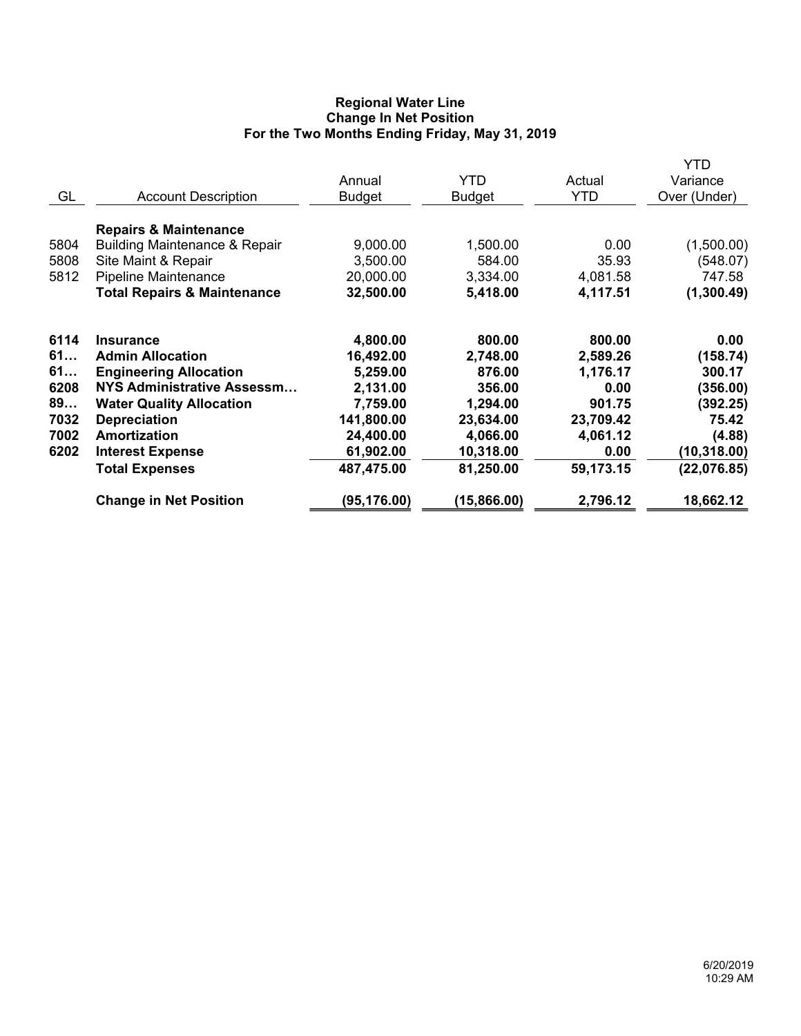# **Regional Water Line Change In Net Position For the Two Months Ending Friday, May 31, 2019**

| GL                                                     | <b>Account Description</b>                                                                                                                                                                                                               | Annual<br><b>Budget</b>                                                                                         | <b>YTD</b><br><b>Budget</b>                                                                           | Actual<br><b>YTD</b>                                                                           | YTD<br>Variance<br>Over (Under)                                                                      |
|--------------------------------------------------------|------------------------------------------------------------------------------------------------------------------------------------------------------------------------------------------------------------------------------------------|-----------------------------------------------------------------------------------------------------------------|-------------------------------------------------------------------------------------------------------|------------------------------------------------------------------------------------------------|------------------------------------------------------------------------------------------------------|
| 5804<br>5808<br>5812                                   | <b>Repairs &amp; Maintenance</b><br><b>Building Maintenance &amp; Repair</b><br>Site Maint & Repair<br><b>Pipeline Maintenance</b><br><b>Total Repairs &amp; Maintenance</b>                                                             | 9,000.00<br>3,500.00<br>20,000.00<br>32,500.00                                                                  | 1,500.00<br>584.00<br>3,334.00<br>5,418.00                                                            | 0.00<br>35.93<br>4,081.58<br>4,117.51                                                          | (1,500.00)<br>(548.07)<br>747.58<br>(1,300.49)                                                       |
| 6114<br>61<br>61<br>6208<br>89<br>7032<br>7002<br>6202 | <b>Insurance</b><br><b>Admin Allocation</b><br><b>Engineering Allocation</b><br>NYS Administrative Assessm<br><b>Water Quality Allocation</b><br><b>Depreciation</b><br>Amortization<br><b>Interest Expense</b><br><b>Total Expenses</b> | 4,800.00<br>16,492.00<br>5,259.00<br>2,131.00<br>7,759.00<br>141,800.00<br>24,400.00<br>61,902.00<br>487,475.00 | 800.00<br>2,748.00<br>876.00<br>356.00<br>1,294.00<br>23,634.00<br>4,066.00<br>10,318.00<br>81,250.00 | 800.00<br>2,589.26<br>1,176.17<br>0.00<br>901.75<br>23,709.42<br>4,061.12<br>0.00<br>59,173.15 | 0.00<br>(158.74)<br>300.17<br>(356.00)<br>(392.25)<br>75.42<br>(4.88)<br>(10, 318.00)<br>(22,076.85) |
|                                                        | <b>Change in Net Position</b>                                                                                                                                                                                                            | (95, 176.00)                                                                                                    | (15,866.00)                                                                                           | 2,796.12                                                                                       | 18,662.12                                                                                            |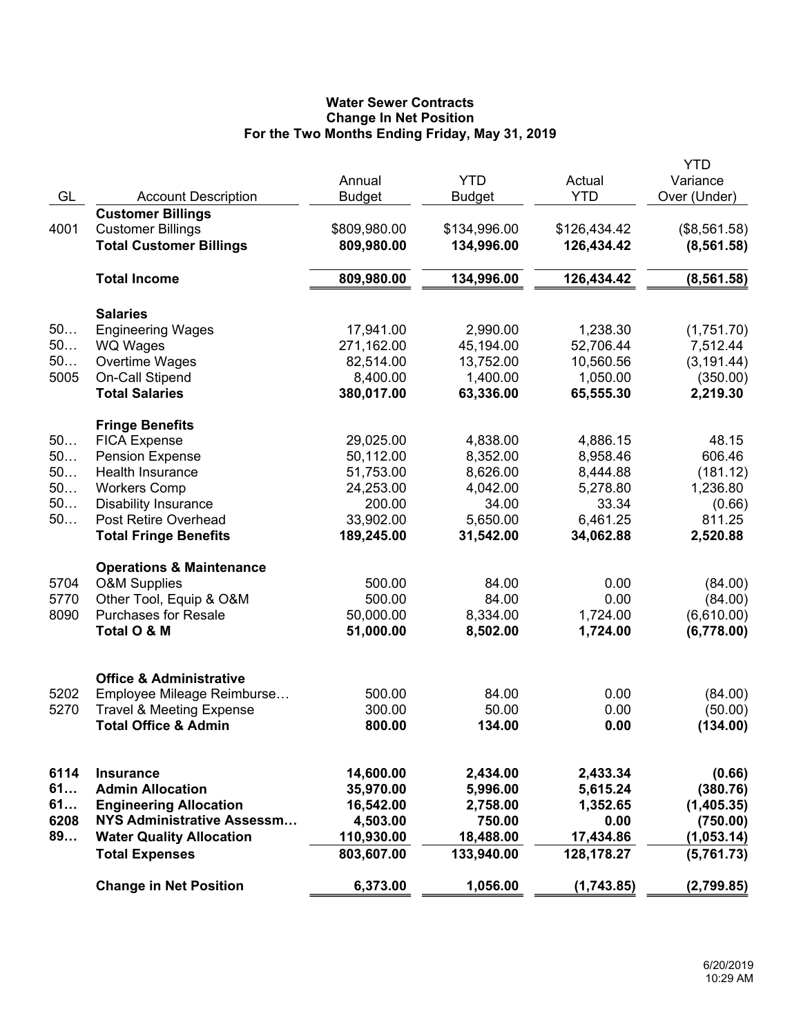# **Water Sewer Contracts Change In Net Position For the Two Months Ending Friday, May 31, 2019**

|      |                                     |               |               |              | <b>YTD</b>   |
|------|-------------------------------------|---------------|---------------|--------------|--------------|
|      |                                     | Annual        | <b>YTD</b>    | Actual       | Variance     |
| GL   | <b>Account Description</b>          | <b>Budget</b> | <b>Budget</b> | <b>YTD</b>   | Over (Under) |
|      | <b>Customer Billings</b>            |               |               |              |              |
| 4001 | <b>Customer Billings</b>            | \$809,980.00  | \$134,996.00  | \$126,434.42 | (\$8,561.58) |
|      | <b>Total Customer Billings</b>      | 809,980.00    | 134,996.00    | 126,434.42   | (8, 561.58)  |
|      | <b>Total Income</b>                 | 809,980.00    | 134,996.00    | 126,434.42   | (8, 561.58)  |
|      | <b>Salaries</b>                     |               |               |              |              |
| 50   | <b>Engineering Wages</b>            | 17,941.00     | 2,990.00      | 1,238.30     | (1,751.70)   |
| 50   | <b>WQ Wages</b>                     | 271,162.00    | 45,194.00     | 52,706.44    | 7,512.44     |
| 50   | Overtime Wages                      | 82,514.00     | 13,752.00     | 10,560.56    | (3, 191.44)  |
| 5005 | On-Call Stipend                     | 8,400.00      | 1,400.00      | 1,050.00     | (350.00)     |
|      | <b>Total Salaries</b>               | 380,017.00    | 63,336.00     | 65,555.30    | 2,219.30     |
|      | <b>Fringe Benefits</b>              |               |               |              |              |
| 50   | <b>FICA Expense</b>                 | 29,025.00     | 4,838.00      | 4,886.15     | 48.15        |
| 50   | <b>Pension Expense</b>              | 50,112.00     | 8,352.00      | 8,958.46     | 606.46       |
| 50   | <b>Health Insurance</b>             | 51,753.00     | 8,626.00      | 8,444.88     | (181.12)     |
| 50   | <b>Workers Comp</b>                 | 24,253.00     | 4,042.00      | 5,278.80     | 1,236.80     |
| 50   | <b>Disability Insurance</b>         | 200.00        | 34.00         | 33.34        | (0.66)       |
| 50   | Post Retire Overhead                | 33,902.00     | 5,650.00      | 6,461.25     | 811.25       |
|      | <b>Total Fringe Benefits</b>        | 189,245.00    | 31,542.00     | 34,062.88    | 2,520.88     |
|      | <b>Operations &amp; Maintenance</b> |               |               |              |              |
| 5704 | <b>O&amp;M Supplies</b>             | 500.00        | 84.00         | 0.00         | (84.00)      |
| 5770 | Other Tool, Equip & O&M             | 500.00        | 84.00         | 0.00         | (84.00)      |
| 8090 | <b>Purchases for Resale</b>         | 50,000.00     | 8,334.00      | 1,724.00     | (6,610.00)   |
|      | Total O & M                         | 51,000.00     | 8,502.00      | 1,724.00     | (6,778.00)   |
|      |                                     |               |               |              |              |
|      | <b>Office &amp; Administrative</b>  |               |               |              |              |
| 5202 | Employee Mileage Reimburse          | 500.00        | 84.00         | 0.00         | (84.00)      |
| 5270 | <b>Travel &amp; Meeting Expense</b> | 300.00        | 50.00         | 0.00         | (50.00)      |
|      | <b>Total Office &amp; Admin</b>     | 800.00        | 134.00        | 0.00         | (134.00)     |
|      |                                     |               |               |              |              |
| 6114 | <b>Insurance</b>                    | 14,600.00     | 2,434.00      | 2,433.34     | (0.66)       |
| 61   | <b>Admin Allocation</b>             | 35,970.00     | 5,996.00      | 5,615.24     | (380.76)     |
| 61   | <b>Engineering Allocation</b>       | 16,542.00     | 2,758.00      | 1,352.65     | (1,405.35)   |
| 6208 | NYS Administrative Assessm          | 4,503.00      | 750.00        | 0.00         | (750.00)     |
| 89   | <b>Water Quality Allocation</b>     | 110,930.00    | 18,488.00     | 17,434.86    | (1,053.14)   |
|      | <b>Total Expenses</b>               | 803,607.00    | 133,940.00    | 128,178.27   | (5,761.73)   |
|      | <b>Change in Net Position</b>       | 6,373.00      | 1,056.00      | (1,743.85)   | (2,799.85)   |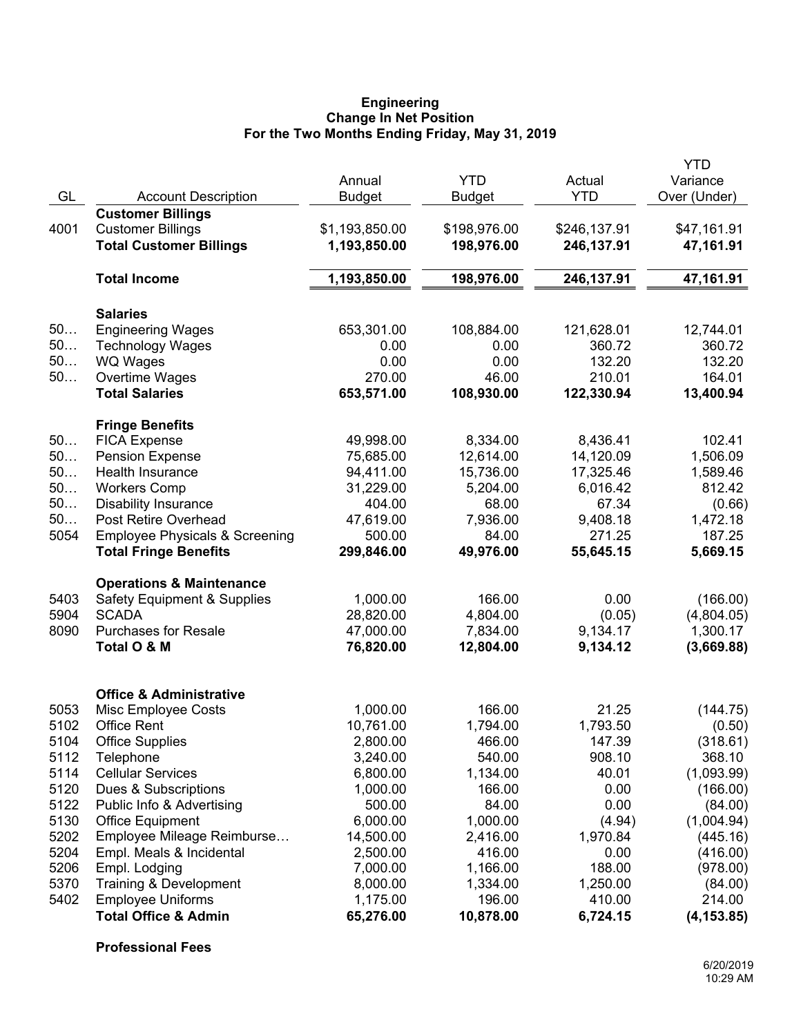#### **Engineering Change In Net Position For the Two Months Ending Friday, May 31, 2019**

|              |                                                                           | Annual                 | <b>YTD</b>           | Actual              | YTD<br>Variance        |
|--------------|---------------------------------------------------------------------------|------------------------|----------------------|---------------------|------------------------|
| GL           | <b>Account Description</b>                                                | <b>Budget</b>          | <b>Budget</b>        | <b>YTD</b>          | Over (Under)           |
|              | <b>Customer Billings</b>                                                  |                        |                      |                     |                        |
| 4001         | <b>Customer Billings</b>                                                  | \$1,193,850.00         | \$198,976.00         | \$246,137.91        | \$47,161.91            |
|              | <b>Total Customer Billings</b>                                            | 1,193,850.00           | 198,976.00           | 246,137.91          | 47,161.91              |
|              | <b>Total Income</b>                                                       | 1,193,850.00           | 198,976.00           | 246,137.91          | 47,161.91              |
|              | <b>Salaries</b>                                                           |                        |                      |                     |                        |
| 50           | <b>Engineering Wages</b>                                                  | 653,301.00             | 108,884.00           | 121,628.01          | 12,744.01              |
| 50           | <b>Technology Wages</b>                                                   | 0.00                   | 0.00                 | 360.72              | 360.72                 |
| 50           | <b>WQ Wages</b>                                                           | 0.00                   | 0.00                 | 132.20              | 132.20                 |
| 50           | Overtime Wages                                                            | 270.00                 | 46.00                | 210.01              | 164.01                 |
|              | <b>Total Salaries</b>                                                     | 653,571.00             | 108,930.00           | 122,330.94          | 13,400.94              |
|              | <b>Fringe Benefits</b>                                                    |                        |                      |                     |                        |
| 50           | <b>FICA Expense</b>                                                       | 49,998.00              | 8,334.00             | 8,436.41            | 102.41                 |
| 50           | <b>Pension Expense</b>                                                    | 75,685.00              | 12,614.00            | 14,120.09           | 1,506.09               |
| 50           | Health Insurance                                                          | 94,411.00              | 15,736.00            | 17,325.46           | 1,589.46               |
| 50           | <b>Workers Comp</b>                                                       | 31,229.00              | 5,204.00             | 6,016.42            | 812.42                 |
| 50           | <b>Disability Insurance</b>                                               | 404.00                 | 68.00                | 67.34               | (0.66)                 |
| 50           | Post Retire Overhead                                                      | 47,619.00              | 7,936.00             | 9,408.18            | 1,472.18               |
| 5054         | <b>Employee Physicals &amp; Screening</b><br><b>Total Fringe Benefits</b> | 500.00<br>299,846.00   | 84.00<br>49,976.00   | 271.25<br>55,645.15 | 187.25<br>5,669.15     |
|              |                                                                           |                        |                      |                     |                        |
|              | <b>Operations &amp; Maintenance</b>                                       |                        |                      |                     |                        |
| 5403<br>5904 | <b>Safety Equipment &amp; Supplies</b><br><b>SCADA</b>                    | 1,000.00               | 166.00               | 0.00                | (166.00)               |
| 8090         | <b>Purchases for Resale</b>                                               | 28,820.00<br>47,000.00 | 4,804.00<br>7,834.00 | (0.05)<br>9,134.17  | (4,804.05)<br>1,300.17 |
|              | Total O & M                                                               | 76,820.00              | 12,804.00            | 9,134.12            | (3,669.88)             |
|              |                                                                           |                        |                      |                     |                        |
|              | <b>Office &amp; Administrative</b>                                        |                        |                      |                     |                        |
| 5053         | Misc Employee Costs                                                       | 1,000.00               | 166.00               | 21.25               | (144.75)               |
| 5102         | <b>Office Rent</b>                                                        | 10,761.00              | 1,794.00             | 1,793.50            | (0.50)                 |
| 5104         | <b>Office Supplies</b>                                                    | 2,800.00               | 466.00               | 147.39              | (318.61)               |
| 5112         | Telephone                                                                 | 3,240.00               | 540.00               | 908.10              | 368.10                 |
| 5114         | <b>Cellular Services</b>                                                  | 6,800.00               | 1,134.00             | 40.01               | (1,093.99)             |
| 5120         | Dues & Subscriptions                                                      | 1,000.00               | 166.00               | 0.00                | (166.00)               |
| 5122         | Public Info & Advertising                                                 | 500.00                 | 84.00                | 0.00                | (84.00)                |
| 5130         | <b>Office Equipment</b>                                                   | 6,000.00               | 1,000.00             | (4.94)              | (1,004.94)             |
| 5202         | Employee Mileage Reimburse                                                | 14,500.00              | 2,416.00             | 1,970.84            | (445.16)               |
| 5204         | Empl. Meals & Incidental                                                  | 2,500.00               | 416.00               | 0.00                | (416.00)               |
| 5206         | Empl. Lodging                                                             | 7,000.00               | 1,166.00             | 188.00              | (978.00)               |
| 5370         | Training & Development                                                    | 8,000.00               | 1,334.00             | 1,250.00            | (84.00)                |
| 5402         | <b>Employee Uniforms</b>                                                  | 1,175.00               | 196.00               | 410.00              | 214.00                 |
|              | <b>Total Office &amp; Admin</b>                                           | 65,276.00              | 10,878.00            | 6,724.15            | (4, 153.85)            |

**Professional Fees**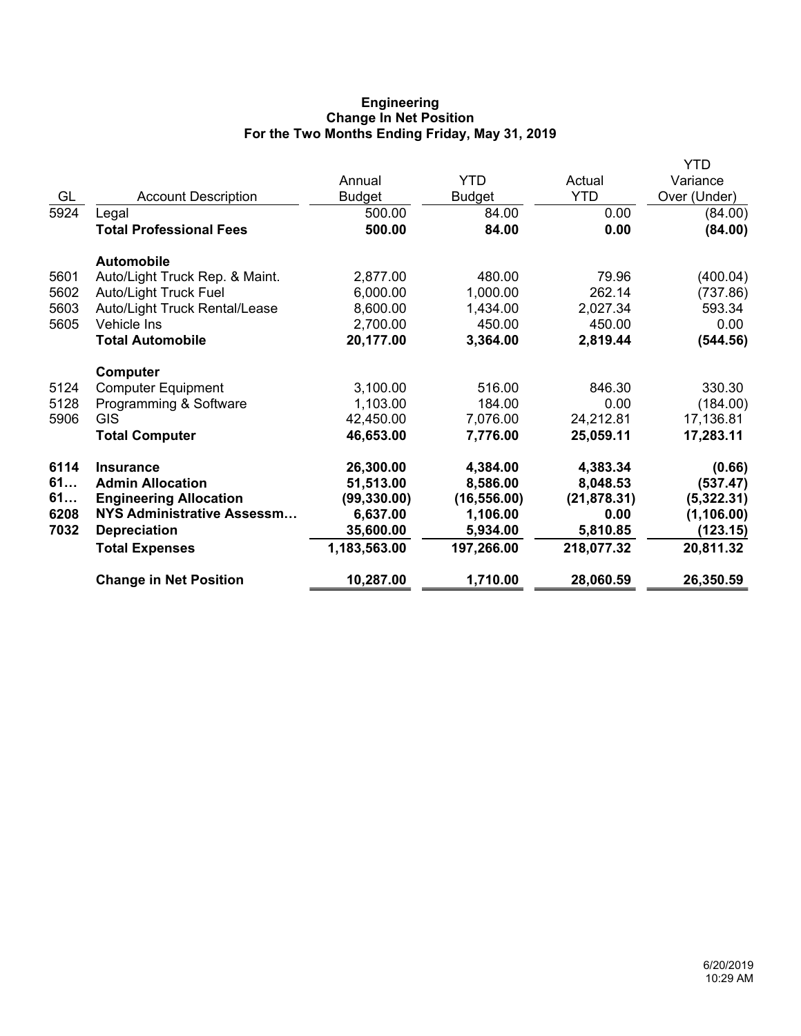# **Engineering Change In Net Position For the Two Months Ending Friday, May 31, 2019**

|      |                                   |               |              |              | YTD          |
|------|-----------------------------------|---------------|--------------|--------------|--------------|
|      |                                   | Annual        | <b>YTD</b>   | Actual       | Variance     |
| GL   | <b>Account Description</b>        | <b>Budget</b> | Budget       | <b>YTD</b>   | Over (Under) |
| 5924 | Legal                             | 500.00        | 84.00        | 0.00         | (84.00)      |
|      | <b>Total Professional Fees</b>    | 500.00        | 84.00        | 0.00         | (84.00)      |
|      | <b>Automobile</b>                 |               |              |              |              |
| 5601 | Auto/Light Truck Rep. & Maint.    | 2,877.00      | 480.00       | 79.96        | (400.04)     |
| 5602 | <b>Auto/Light Truck Fuel</b>      | 6,000.00      | 1,000.00     | 262.14       | (737.86)     |
| 5603 | Auto/Light Truck Rental/Lease     | 8,600.00      | 1,434.00     | 2,027.34     | 593.34       |
| 5605 | <b>Vehicle Ins</b>                | 2,700.00      | 450.00       | 450.00       | 0.00         |
|      | <b>Total Automobile</b>           | 20,177.00     | 3,364.00     | 2,819.44     | (544.56)     |
|      | Computer                          |               |              |              |              |
| 5124 | <b>Computer Equipment</b>         | 3,100.00      | 516.00       | 846.30       | 330.30       |
| 5128 | Programming & Software            | 1,103.00      | 184.00       | 0.00         | (184.00)     |
| 5906 | <b>GIS</b>                        | 42,450.00     | 7,076.00     | 24,212.81    | 17,136.81    |
|      | <b>Total Computer</b>             | 46,653.00     | 7,776.00     | 25,059.11    | 17,283.11    |
| 6114 | <b>Insurance</b>                  | 26,300.00     | 4,384.00     | 4,383.34     | (0.66)       |
| 61   | <b>Admin Allocation</b>           | 51,513.00     | 8,586.00     | 8,048.53     | (537.47)     |
| 61   | <b>Engineering Allocation</b>     | (99, 330.00)  | (16, 556.00) | (21, 878.31) | (5,322.31)   |
| 6208 | <b>NYS Administrative Assessm</b> | 6,637.00      | 1,106.00     | 0.00         | (1, 106.00)  |
| 7032 | <b>Depreciation</b>               | 35,600.00     | 5,934.00     | 5,810.85     | (123.15)     |
|      | <b>Total Expenses</b>             | 1,183,563.00  | 197,266.00   | 218,077.32   | 20,811.32    |
|      | <b>Change in Net Position</b>     | 10,287.00     | 1,710.00     | 28,060.59    | 26,350.59    |
|      |                                   |               |              |              |              |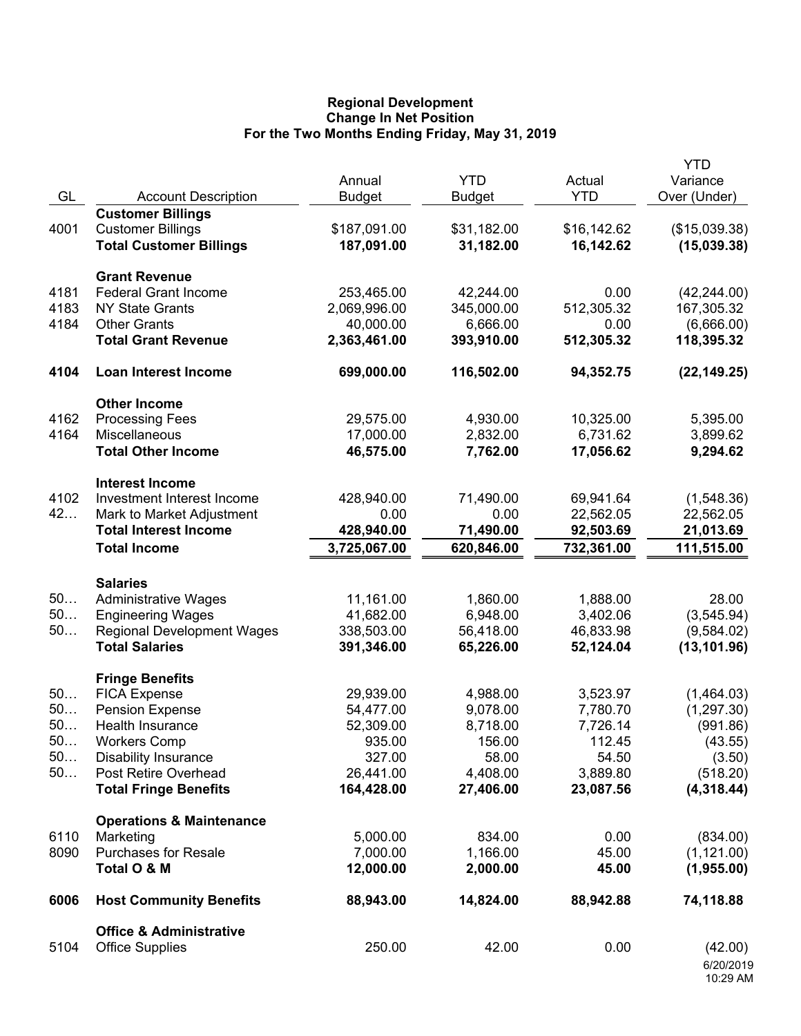## **Regional Development Change In Net Position For the Two Months Ending Friday, May 31, 2019**

|      |                                     | Annual        | <b>YTD</b>    | Actual      | <b>YTD</b><br>Variance |
|------|-------------------------------------|---------------|---------------|-------------|------------------------|
| GL   | <b>Account Description</b>          | <b>Budget</b> | <b>Budget</b> | <b>YTD</b>  | Over (Under)           |
|      | <b>Customer Billings</b>            |               |               |             |                        |
| 4001 | <b>Customer Billings</b>            | \$187,091.00  | \$31,182.00   | \$16,142.62 | (\$15,039.38)          |
|      | <b>Total Customer Billings</b>      | 187,091.00    | 31,182.00     | 16,142.62   | (15,039.38)            |
|      |                                     |               |               |             |                        |
|      | <b>Grant Revenue</b>                |               |               |             |                        |
| 4181 | <b>Federal Grant Income</b>         | 253,465.00    | 42,244.00     | 0.00        | (42, 244.00)           |
| 4183 | <b>NY State Grants</b>              | 2,069,996.00  | 345,000.00    | 512,305.32  | 167,305.32             |
| 4184 | <b>Other Grants</b>                 | 40,000.00     | 6,666.00      | 0.00        | (6,666.00)             |
|      | <b>Total Grant Revenue</b>          | 2,363,461.00  | 393,910.00    | 512,305.32  | 118,395.32             |
| 4104 | <b>Loan Interest Income</b>         | 699,000.00    | 116,502.00    | 94,352.75   | (22, 149.25)           |
|      | <b>Other Income</b>                 |               |               |             |                        |
| 4162 | <b>Processing Fees</b>              | 29,575.00     | 4,930.00      | 10,325.00   | 5,395.00               |
| 4164 | Miscellaneous                       | 17,000.00     | 2,832.00      | 6,731.62    | 3,899.62               |
|      | <b>Total Other Income</b>           | 46,575.00     | 7,762.00      | 17,056.62   | 9,294.62               |
|      | <b>Interest Income</b>              |               |               |             |                        |
| 4102 | Investment Interest Income          | 428,940.00    | 71,490.00     | 69,941.64   | (1,548.36)             |
| 42   | Mark to Market Adjustment           | 0.00          | 0.00          | 22,562.05   | 22,562.05              |
|      | <b>Total Interest Income</b>        | 428,940.00    | 71,490.00     | 92,503.69   | 21,013.69              |
|      | <b>Total Income</b>                 | 3,725,067.00  | 620,846.00    | 732,361.00  | 111,515.00             |
|      |                                     |               |               |             |                        |
|      | <b>Salaries</b>                     |               |               |             |                        |
| 50   | <b>Administrative Wages</b>         | 11,161.00     | 1,860.00      | 1,888.00    | 28.00                  |
| 50   | <b>Engineering Wages</b>            | 41,682.00     | 6,948.00      | 3,402.06    | (3,545.94)             |
| 50   | <b>Regional Development Wages</b>   | 338,503.00    | 56,418.00     | 46,833.98   | (9,584.02)             |
|      | <b>Total Salaries</b>               | 391,346.00    | 65,226.00     | 52,124.04   | (13, 101.96)           |
|      | <b>Fringe Benefits</b>              |               |               |             |                        |
| 50   | <b>FICA Expense</b>                 | 29,939.00     | 4,988.00      | 3,523.97    | (1,464.03)             |
| 50   | <b>Pension Expense</b>              | 54,477.00     | 9,078.00      | 7,780.70    | (1, 297.30)            |
| 50   | Health Insurance                    | 52,309.00     | 8,718.00      | 7,726.14    | (991.86)               |
| 50   | <b>Workers Comp</b>                 | 935.00        | 156.00        | 112.45      | (43.55)                |
| 50   | <b>Disability Insurance</b>         | 327.00        | 58.00         | 54.50       | (3.50)                 |
| 50   | Post Retire Overhead                | 26,441.00     | 4,408.00      | 3,889.80    | (518.20)               |
|      | <b>Total Fringe Benefits</b>        | 164,428.00    | 27,406.00     | 23,087.56   | (4,318.44)             |
|      | <b>Operations &amp; Maintenance</b> |               |               |             |                        |
| 6110 | Marketing                           | 5,000.00      | 834.00        | 0.00        | (834.00)               |
| 8090 | <b>Purchases for Resale</b>         | 7,000.00      | 1,166.00      | 45.00       | (1, 121.00)            |
|      | Total O & M                         | 12,000.00     | 2,000.00      | 45.00       | (1,955.00)             |
| 6006 | <b>Host Community Benefits</b>      | 88,943.00     | 14,824.00     | 88,942.88   | 74,118.88              |
|      | <b>Office &amp; Administrative</b>  |               |               |             |                        |
| 5104 | <b>Office Supplies</b>              | 250.00        | 42.00         | 0.00        | (42.00)                |
|      |                                     |               |               |             | 6/20/2019              |
|      |                                     |               |               |             | 10:29 AM               |